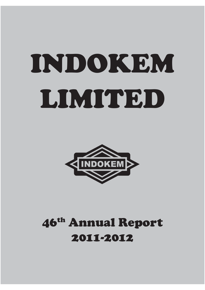# INDOKEM LIMITED



# 46th Annual Report 2011-2012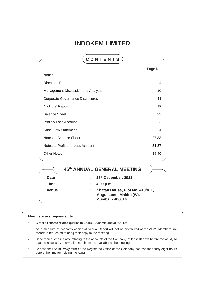## **INDOKEM LIMITED**

| CONTENTS                                |          |
|-----------------------------------------|----------|
|                                         | Page No. |
| <b>Notice</b>                           | 2        |
| Directors' Report                       | 4        |
| Management Discussion and Analysis      | 10       |
| <b>Corporate Governance Disclosures</b> | 11       |
| Auditors' Report                        | 19       |
| <b>Balance Sheet</b>                    | 22       |
| Profit & Loss Account                   | 23       |
| <b>Cash Flow Statement</b>              | 24       |
| Notes to Balance Sheet                  | 27-33    |
| Notes to Profit and Loss Account        | 34-37    |
| <b>Other Notes</b>                      | 38-40    |

## **46th ANNUAL GENERAL MEETING**

| <b>Date</b> | $\therefore$ 28 <sup>th</sup> December, 2012                                        |
|-------------|-------------------------------------------------------------------------------------|
| Time        | $\therefore$ 4.00 p.m.                                                              |
| Venue       | Khatau House, Plot No. 410/411,<br>Mogul Lane, Mahim (W),<br><b>Mumbai - 400016</b> |

#### **Members are requested to:**

- Direct all shares related queries to Sharex Dynamic (India) Pvt. Ltd.
- As a measure of economy copies of Annual Report will not be distributed at the AGM. Members are therefore requested to bring their copy to the meeting.
- Send their queries, if any, relating to the accounts of the Company, at least 10 days before the AGM, so that the necessary information can be made available at the meeting.
- Deposit their valid Proxy form at the Registered Office of the Company not less than forty-eight hours before the time for holding the AGM.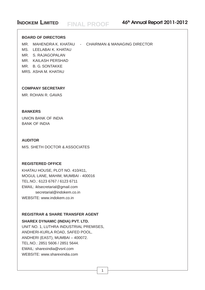#### **INDOKEM LIMITED** EIN ALL **DEOOE** 46<sup>th</sup> Annual Report 2011-2012 **FINAL PROOF**

### **BOARD OF DIRECTORS**

MR. MAHENDRA K. KHATAU - CHAIRMAN & MANAGING DIRECTOR

MS. LEELABAI K. KHATAU

MR. S. RAJAGOPALAN

MR. KAILASH PERSHAD

MR. B. G. SONTAKKE

MRS. ASHA M. KHATAU

### **COMPANY SECRETARY**

MR. ROHAN R. GAVAS

## **BANKERS**

UNION BANK OF INDIA BANK OF INDIA

### **AUDITOR**

M/S. SHETH DOCTOR & ASSOCIATES

### **REGISTERED OFFICE**

KHATAU HOUSE, PLOT NO. 410/411, MOGUL LANE, MAHIM, MUMBAI - 400016 TEL.NO.: 6123 6767 / 6123 6711 EMAIL: iklsecretarial@gmail.com secretarial@indokem.co.in WEBSITE: www.indokem.co.in

### **REGISTRAR & SHARE TRANSFER AGENT**

### **SHAREX DYNAMIC (INDIA) PVT. LTD.**

UNIT NO. 1, LUTHRA INDUSTRIAL PREMISES, ANDHERI-KURLA ROAD, SAFED POOL, ANDHERI (EAST), MUMBAI – 400072. TEL.NO.: 2851 5606 / 2851 5644. EMAIL: sharexindia@vsnl.com WEBSITE: www.sharexindia.com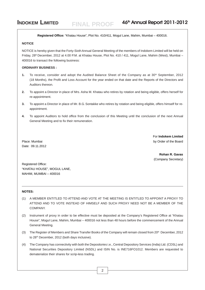**Registered Office:** "Khatau House", Plot No. 410/411, Mogul Lane, Mahim, Mumbai – 400016.

**FINAL PROOF**

#### **NOTICE**

NOTICE is hereby given that the Forty-Sixth Annual General Meeting of the members of Indokem Limited will be held on Friday, 28<sup>th</sup> December, 2012 at 4.00 P.M. at Khatau House, Plot No. 410 / 411, Mogul Lane, Mahim (West), Mumbai – 400016 to transact the following business:

#### **ORDINARY BUSINESS :**

- **1.** To receive, consider and adopt the Audited Balance Sheet of the Company as at 30<sup>th</sup> September, 2012 (18 Months), the Profit and Loss Account for the year ended on that date and the Reports of the Directors and Auditors thereon.
- **2.** To appoint a Director in place of Mrs. Asha M. Khatau who retires by rotation and being eligible, offers herself for re-appointment.
- **3.** To appoint a Director in place of Mr. B.G. Sontakke who retires by rotation and being eligible, offers himself for reappointment.
- **4.** To appoint Auditors to hold office from the conclusion of this Meeting until the conclusion of the next Annual General Meeting and to fix their remuneration.

Date: 09.11.2012

For **Indokem Limited** Place: Mumbai by Order of the Board

> **Rohan R. Gavas** (Company Secretary)

Registered Office: "KHATAU HOUSE", MOGUL LANE, MAHIM, MUMBAI – 400016

#### **NOTES:**

- (1) A MEMBER ENTITLED TO ATTEND AND VOTE AT THE MEETING IS ENTITLED TO APPOINT A PROXY TO ATTEND AND TO VOTE INSTEAD OF HIMSELF AND SUCH PROXY NEED NOT BE A MEMBER OF THE COMPANY.
- (2) Instrument of proxy in order to be effective must be deposited at the Company's Registered Office at "Khatau House", Mogul Lane, Mahim, Mumbai – 400016 not less than 48 hours before the commencement of the Annual General Meeting.
- (3) The Register of Members and Share Transfer Books of the Company will remain closed from  $20<sup>th</sup>$  December, 2012 to 28<sup>th</sup> December, 2012 (both days inclusive).
- (4) The Company has connectivity with both the Depositories i.e., Central Depository Services (India) Ltd. (CDSL) and National Securities Depository Limited (NSDL) and ISIN No. is INE716FO1012. Members are requested to dematerialize their shares for scrip-less trading.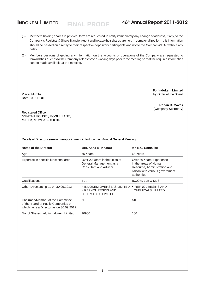(5) Members holding shares in physical form are requested to notify immediately any change of address, if any, to the Company's Registrar & Share Transfer Agent and in case their shares are held in dematerialized form this information should be passed on directly to their respective depository participants and not to the Company/STA, without any delay.

**FINAL PROOF**

(6) Members desirous of getting any information on the accounts or operations of the Company are requested to forward their queries to the Company at least seven working days prior to the meeting so that the required information can be made available at the meeting.

Date: 09.11.2012

For **Indokem Limited** Place: Mumbai by Order of the Board

> **Rohan R. Gavas** (Company Secretary)

Registered Office: "KHATAU HOUSE", MOGUL LANE, MAHIM, MUMBAI – 400016

Details of Directors seeking re-appointment in forthcoming Annual General Meeting

| Name of the Director                                                                                               | Mrs. Asha M. Khatau                                                                        | Mr. B.G. Sontakke                                                                                                                   |
|--------------------------------------------------------------------------------------------------------------------|--------------------------------------------------------------------------------------------|-------------------------------------------------------------------------------------------------------------------------------------|
| Age                                                                                                                | 55 Years                                                                                   | 68 Years                                                                                                                            |
| Expertise in specific functional area                                                                              | Over 20 Years in the fields of<br>General Management as a<br><b>Consultant and Advisor</b> | Over 30 Years Experience<br>in the areas of Human<br>Resource, Administration and<br>liaison with various government<br>authorities |
| Qualifications                                                                                                     | B.A.                                                                                       | <b>B.COM, LLB &amp; MLS</b>                                                                                                         |
| Other Directorship as on 30.09.2012                                                                                | • INDOKEM OVERSEAS LIMITED<br>• REFNOL RESINS AND<br><b>CHEMICALS LIMITED</b>              | • REFNOL RESINS AND<br><b>CHEMICALS LIMITED</b>                                                                                     |
| Chairman/Member of the Committee<br>of the Board of Public Companies on<br>which he is a Director as on 30.09.2012 | <b>NIL</b>                                                                                 | <b>NIL</b>                                                                                                                          |
| No. of Shares held in Indokem Limited                                                                              | 10900                                                                                      | 100                                                                                                                                 |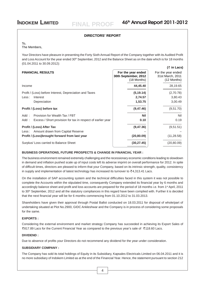**( in Lacs)**

#### **DIRECTORS' REPORT**

#### To,

#### The Members,

Your Directors have pleasure in presenting the Forty Sixth Annual Report of the Company together with its Audited Profit and Loss Account for the year ended 30<sup>th</sup> September, 2012 and the Balance Sheet as on the date which is for 18 months (01.04.2011 to 30.09.2012):

#### **FINANCIAL RESULTS For the year ended** For the year ended

| FINANVIAL REJULIJ                                                    | <b>FUI LIIE YEAL EIIUEU</b><br>30th September, 2012<br>$(18$ Months) | <b>FUI THE YEAL EINEU</b><br>31st March, 2011<br>(12 Months) |
|----------------------------------------------------------------------|----------------------------------------------------------------------|--------------------------------------------------------------|
| Income                                                               | 44,45.40                                                             | 28,19.65                                                     |
| Profit / (Loss) before Interest, Depreciation and Taxes              | (5, 19.14)                                                           | (2,70.78)                                                    |
| Less:<br>Interest                                                    | 2,74.57                                                              | 3,80.43                                                      |
| Depreciation                                                         | 1,53.75                                                              | 3,00.49                                                      |
| Profit / (Loss) before tax                                           | (9, 47.46)                                                           | (9,51.70)                                                    |
| Provision for Wealth Tax / FBT<br>Add :                              | <b>Nil</b>                                                           | Nil                                                          |
| Excess / Short provision for tax in respect of earlier year<br>Add : | 0.10                                                                 | 0.19                                                         |
| Profit / (Loss) After Tax                                            | (9, 47.36)                                                           | (9,51.51)                                                    |
| Less: Amount drawn from Capital Reserve                              |                                                                      |                                                              |
| Profit / (Loss) brought forward from last year                       | (20, 80.09)                                                          | (11, 28.58)                                                  |
| Surplus/Loss carried to Balance Sheet                                | (30, 27.45)                                                          | (20, 80.09)                                                  |
|                                                                      |                                                                      |                                                              |

#### **BUSINESS OPERATIONS, FUTURE PROSPECTS & CHANGE IN FINANCIAL YEAR :**

The business environment remained extremely challenging and the recessionary economic conditions leading to slowdown in demand and inflation pushed scale up of input costs left its adverse imprint on overall performance for 2012. In spite of difficult times, directors are pleased to inform that your Company, based on its intrinsic strength, quality, consistency in supply and implementation of latest technology has increased its turnover to  $\overline{5}4,313.41$  Lacs.

On the installation of SAP accounting system and the technical difficulties faced in this system it was not possible to complete the Accounts within the stipulated time, consequently Company extended its financial year by 6 months and accordingly balance sheet and profit and loss accounts are prepared for the period of 18 months i.e. from 1<sup>st</sup> April, 2011 to 30<sup>th</sup> September, 2012 and all the statutory compliances in this regard have been complied with. Further it is decided that the next financial year will be for 6 months commencing from 01.10.2012 to 31.03.2013.

Shareholders have given their approval through Postal Ballot conducted on 18.03.2011 for disposal of whole/part of undertaking situated at Plot No.2900, GIDC Ankleshwar and the Company is in process of considering some proposals for the same.

#### **EXPORTS :**

Considering the external environment and market strategy Company has succeeded in achieving its Export Sales of 817.89 Lacs for the Current Financial Year as compared to the previous year's sale of 118.60 Lacs.

#### **DIVIDEND :**

Due to absence of profits your Directors do not recommend any dividend for the year under consideration.

#### **SUBSIDIARY COMPANY :**

The Company has sold its total holdings of Equity in its Subsidiary, Kapsales Electricals Limited on 06.04.2011 and it is no more subsidiary of Indokem Limited as at the end of the Financial Year. Hence, the statement pursuant to section 212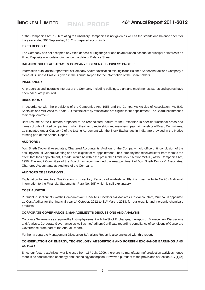of the Companies Act, 1956 relating to Subsidiary Companies is not given as well as the standalone balance sheet for the year ended  $30<sup>th</sup>$  September, 2012 is prepared accordingly.

#### **FIXED DEPOSITS :**

The Company has not accepted any fixed deposit during the year and no amount on account of principal or interests on Fixed Deposits was outstanding as on the date of Balance Sheet.

#### **BALANCE SHEET ABSTRACT & COMPANY'S GENERAL BUSINESS PROFILE :**

Information pursuant to Department of Company Affairs Notification relating to the Balance Sheet Abstract and Company's General Business Profile is given in the Annual Report for the information of the Shareholders.

#### **INSURANCE :**

All properties and insurable interest of the Company including buildings, plant and machineries, stores and spares have been adequately insured.

#### **DIRECTORS :**

In accordance with the provisions of the Companies Act, 1956 and the Company's Articles of Association, Mr. B.G. Sontakke and Mrs. Asha M. Khatau, Directors retire by rotation and are eligible for re-appointment. The Board recommends their reappointment.

Brief resume of the Directors proposed to be reappointed, nature of their expertise in specific functional areas and names of public limited companies in which they hold directorships and memberships/chairmanships of Board Committees, as stipulated under Clause 49 of the Listing Agreement with the Stock Exchanges in India, are provided in the Notice forming part of the Annual Report.

#### **AUDITORS :**

M/s. Sheth Doctor & Associates, Chartered Accountants, Auditors of the Company, hold office until conclusion of the ensuing Annual General Meeting and are eligible for re-appointment. The Company has received letter from them to the effect that their appointment, if made, would be within the prescribed limits under section 224(IB) of the Companies Act, 1956. The Audit Committee of the Board has recommended the re-appointment of M/s. Sheth Doctor & Associates, Chartered Accountants as Auditors of the Company.

#### **AUDITORS OBSERVATIONS :**

Explanation for Auditors Qualification on Inventory Records of Ankleshwar Plant is given in Note No.26 (Additional Information to the Financial Statements) Para No. 5(B) which is self explanatory.

#### **COST AUDITOR :**

Pursuant to Section 233B of the Companies Act, 1956, M/s. Deodhar & Associates, Cost Accountant, Mumbai, is appointed as Cost Auditor for the financial year 1<sup>st</sup> October, 2012 to 31<sup>st</sup> March, 2013, for our organic and inorganic chemicals products.

#### **CORPORATE GOVERNANCE & MANAGEMENT'S DISCUSSIONS AND ANALYSIS :**

Corporate Governance as required by Listing Agreement with the Stock Exchanges, the report on Management Discussions and Analysis, Corporate Governance as well as the Auditors Certificate regarding compliance of conditions of Corporate Governance, from part of the Annual Report.

Further, a separate Management Discussion & Analysis Report is also enclosed with this report.

#### **CONSERVATION OF ENERGY, TECHNOLOGY ABSORPTION AND FOREIGN EXCHANGE EARNINGS AND OUTGO :**

Since our factory at Ankleshwar is closed from 16<sup>th</sup> July, 2009, there are no manufacturing/ production activities hence there is no consumption of energy and technology absorption. However, pursuant to the provisions of Section 217(1)(e)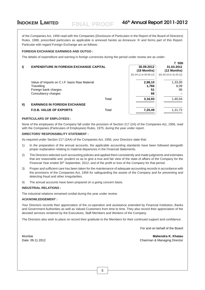of the Companies Act, 1956 read with the Companies (Disclosure of Particulars in the Report of the Board of Directors) Rules, 1988, prescribed particulars as applicable is annexed hereto as Annexure 'A' and forms part of this Report. Particular with regard Foreign Exchange are as follows:

#### **FOREIGN EXCHANGE EARNINGS AND OUTGO :**

The details of expenditure and earning in foreign currencies during the period under review are as under:

**FINAL PROOF**

|                                                                                                                                                                       |                                                | ₹ '000                 |
|-----------------------------------------------------------------------------------------------------------------------------------------------------------------------|------------------------------------------------|------------------------|
|                                                                                                                                                                       | 30.09.2012                                     | 31.03.2011             |
|                                                                                                                                                                       | (18 Months)                                    | (12 Months)            |
|                                                                                                                                                                       | (01.04.11 to 30.09.12)                         | (01.04.10 to 31.03.11) |
|                                                                                                                                                                       | 2,98,10                                        | 1,33,00                |
|                                                                                                                                                                       | 1,766                                          | 6,09                   |
|                                                                                                                                                                       | 51                                             | 95                     |
|                                                                                                                                                                       | 66                                             |                        |
| Total:                                                                                                                                                                | 3,16,93                                        | 1,40,04                |
|                                                                                                                                                                       |                                                |                        |
| Total:                                                                                                                                                                | 7,20,49                                        | 1,21,72                |
| Value of Imports on C.I.F. basis Raw Material<br>Foreign bank charges<br>Consultancy charges<br><b>EARNINGS IN FOREIGN EXCHANGE</b><br><b>F.O.B. VALUE OF EXPORTS</b> | <b>EXPENDITURE IN FOREIGN EXCHANGE CAPITAL</b> |                        |

#### **PARTICULARS OF EMPLOYEES :**

None of the employees of the Company fall under the provision of Section 217 (2A) of the Companies Act, 1956, read with the Companies (Particulars of Employees) Rules, 1975, during the year under report.

#### **DIRECTORS' RESPONSIBILITY STATEMENT :**

As required under Section 217 (2AA) of the Companies Act, 1956, your Directors state that:

- 1) In the preparation of the annual accounts, the applicable accounting standards have been followed alongwith proper explanation relating to material departures in the Financial Statements.
- 2) The Directors selected such accounting policies and applied them consistently and made judgments and estimates that are reasonable and prudent so as to give a true and fair view of the state of affairs of the Company for the Financial Year ended 30<sup>th</sup> September, 2012; and of the profit or loss of the Company for that period.
- 3) Proper and sufficient care has been taken for the maintenance of adequate accounting records in accordance with the provisions of the Companies Act, 1956 for safeguarding the assets of the Company and for preventing and detecting fraud and other irregularities.
- 4) The annual accounts have been prepared on a going concern basis.

#### **INDUSTRIAL RELATIONS :**

The industrial relations remained cordial during the year under review.

#### **ACKNOWLEDGEMENT :**

Your Directors records their appreciation of the co-operation and assistance extended by Financial Institution, Banks and Government Authorities as well as Valued Customers from time to time. They also record their appreciation of the devoted services rendered by the Executives, Staff Members and Workers of the Company.

The Directors also wish to place on record their gratitude to the Members for their continued support and confidence.

For and on behalf of the Board

Mumbai **Mahendra K. Khatau** Date: 09.11.2012 Chairman & Managing Director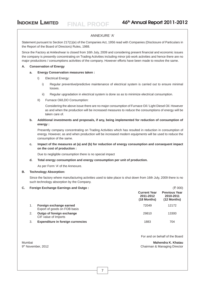#### ANNEXURE 'A'

**FINAL PROOF**

Statement pursuant to Section 217(1)(e) of the Companies Act, 1956 read with Companies (Disclosure of Particulars in the Report of the Board of Directors) Rules, 1988.

Since the Factory at Ankleshwar is closed from 16th July, 2009 and considering present financial and economic issues the company is presently concentrating on Trading Activities including minor job work activities and hence there are no major productions / consumptions activities of the company. However efforts have been made to resolve the same.

#### **A. Conservation of Energy**

#### **a. Energy Conservation measures taken :**

- I) Electrical Energy:
	- i) Regular preventive/predictive maintenance of electrical system is carried out to ensure minimal losses.
	- ii) Regular upgradation in electrical system is done so as to minimize electrical consumption.
- II) Furnace Oil/LDO Consumption:

Considering the above issue there are no major consumption of Furnace Oil / Light Diesel Oil. However as and when the production will be increased measures to reduce the consumptions of energy will be taken care of.

**b. Additional investments and proposals, if any, being implemented for reduction of consumption of energy :**

Presently company concentrating on Trading Activities which has resulted in reduction in consumption of energy. However, as and when production will be increased modern equipments will be used to reduce the consumption of the same.

#### **c. Impact of the measures at (a) and (b) for reduction of energy consumption and consequent impact on the cost of production :**

Due to negligible consumption there is no special impact

**d. Total energy consumption and energy consumption per unit of production.**

As per Form 'A' of the Annexure.

#### **B. Technology Absorption:**

Since the factory where manufacturing activities used to take place is shut down from 16th July, 2009 there is no such technology absorption by the Company.

#### C. Foreign Exchange Earnings and Outgo : (₹ 000)

|    |                                                         | <b>Current Year</b><br>2011-2012<br>$(18$ Months) | <b>Previous Year</b><br>2010-2011<br>$(12$ Months) |
|----|---------------------------------------------------------|---------------------------------------------------|----------------------------------------------------|
|    | Foreign exchange earned<br>Export of goods on FOB basis | 72049                                             | 12172                                              |
| 2. | Outgo of foreign exchange<br>CIF value of Imports       | 29810                                             | 13300                                              |
| 3. | <b>Expenditure in foreign currencies</b>                | 1883                                              | 704                                                |

For and on behalf of the Board

Mumbai **Mahendra K. Khatau** 9th November, 2012 Chairman & Managing Director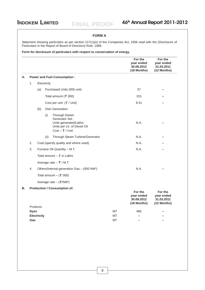#### **FORM A**

Statement showing particulars as per section 217(1)(e) of the Companies Act, 1956 read with the (Disclosure of Particulars in the Report of Board of Directors) Rule, 1988.

**Form for disclosure of particulars with respect to conservation of energy.**

|    |                                           |                    |             |                                                                                                                                |           | For the<br>year ended<br>30.09.2012<br>(18 Months) | For the<br>year ended<br>31.03.2011<br>(12 Months) |
|----|-------------------------------------------|--------------------|-------------|--------------------------------------------------------------------------------------------------------------------------------|-----------|----------------------------------------------------|----------------------------------------------------|
| А. |                                           |                    |             | <b>Power and Fuel Consumption:</b>                                                                                             |           |                                                    |                                                    |
|    | 1.                                        |                    | Electricity |                                                                                                                                |           |                                                    |                                                    |
|    |                                           | (a)                |             | Purchased Units (000 unit)                                                                                                     |           | 37                                                 |                                                    |
|    |                                           |                    |             | Total amount ( $\bar{z}$ 000)                                                                                                  |           | 315                                                |                                                    |
|    |                                           |                    |             | Cost per unit $(\xi /$ Unit)                                                                                                   |           | 8.51                                               |                                                    |
|    |                                           | (b)                |             | Own Generation                                                                                                                 |           |                                                    |                                                    |
|    |                                           |                    | (i)         | <b>Through Diesel</b><br>Generator Set:<br>Units generated/Lakhs<br>Units per Ltr. of Diesel Oil<br>Cost - $\bar{\tau}$ / Unit |           | N.A.                                               |                                                    |
|    |                                           |                    | (ii)        | Through Steam Turbine/Generator                                                                                                |           | N.A.                                               |                                                    |
|    | 2.                                        |                    |             | Coal (specify quality and where used)                                                                                          |           | N.A.                                               |                                                    |
|    | 3.                                        |                    |             | Furnace Oil Quantity - M.T.                                                                                                    |           | N.A.                                               |                                                    |
|    | Total amount $ \overline{\zeta}$ in Lakhs |                    |             |                                                                                                                                |           |                                                    |                                                    |
|    |                                           |                    |             | Average rate $-$ ₹ / M.T.                                                                                                      |           |                                                    |                                                    |
|    | 4.                                        |                    |             | Others/internal generation Gas - (000 NM <sup>3</sup> )                                                                        |           | N.A.                                               |                                                    |
|    |                                           |                    |             | Total amount $-$ (₹ 000)                                                                                                       |           |                                                    |                                                    |
|    |                                           |                    |             | Average rate $-$ ( $\overline{\xi}$ /NM <sup>3</sup> )                                                                         |           |                                                    |                                                    |
| В. |                                           |                    |             | <b>Production / Consumption of:</b>                                                                                            |           |                                                    |                                                    |
|    |                                           | <b>Products</b>    |             |                                                                                                                                |           | For the<br>vear ended<br>30.09.2012<br>(18 Months) | For the<br>year ended<br>31.03.2011<br>(12 Months) |
|    | <b>Dyes</b>                               |                    |             |                                                                                                                                | МT        | 466                                                |                                                    |
|    |                                           | <b>Electricity</b> |             |                                                                                                                                | МT        |                                                    |                                                    |
|    | Gas                                       |                    |             |                                                                                                                                | <b>MT</b> |                                                    |                                                    |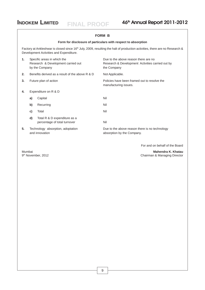**FINAL PROOF**

## **INDOKEM LIMITED** FINAL PROOF 46<sup>th</sup> Annual Report 2011-2012

#### **FORM B**

#### **Form for disclosure of particulars with respect to absorption**

Factory at Ankleshwar is closed since 16<sup>th</sup> July, 2009, resulting the halt of production activities, there are no Research & Development Activities and Expenditure.

| 1. |                                                     | Specific areas in which the<br>Research & Development carried out<br>by the Company | Due to the above reason there are no<br>Research & Development Activities carried out by<br>the Company |
|----|-----------------------------------------------------|-------------------------------------------------------------------------------------|---------------------------------------------------------------------------------------------------------|
| 2. |                                                     | Benefits derived as a result of the above R & D                                     | Not Applicable.                                                                                         |
| 3. |                                                     | Future plan of action                                                               | Policies have been framed out to resolve the<br>manufacturing issues.                                   |
| 4. |                                                     | Expenditure on R & D                                                                |                                                                                                         |
|    | a)                                                  | Capital                                                                             | Nil                                                                                                     |
|    | b)                                                  | Recurring                                                                           | Nil                                                                                                     |
|    | c)                                                  | Total                                                                               | Nil                                                                                                     |
|    | d)                                                  | Total R & D expenditure as a<br>percentage of total turnover                        | Nil                                                                                                     |
| 5. | Technology absorption, adoptation<br>and innovation |                                                                                     | Due to the above reason there is no technology<br>absorption by the Company.                            |

For and on behalf of the Board

Mumbai **Mahendra K. Khatau** 9th November, 2012 Chairman & Managing Director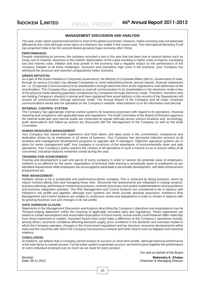#### **MANAGEMENT DISCUSSION AND ANALYSIS**

The year under report experienced turmoil in most of the global economies, however, Indian economy was not adversely affected by this crisis although some signs of a downturn are visible in the current year. The International Monetary Fund has projected India to be the second-fastest-growing major economy after China.

#### **PERFORMANCE:**

Despite maintaining its turnover, the company recorded a loss in the year that has been due to various factors such as rising cost of material, slackness in the market, depreciation of the rupee resulting in higher costs of imports, escalating fuel and interest costs, inflation and slow growth in the economy had a negative impact on the performance of the company. Despite of all these challenges, recession and exemplary high costs in the business, your Company has withstood the pressure and reported comparatively better business.

#### **GREEN INITIATIVE:**

As a part of the Green Initiative in Corporate Governance, the Ministry of Corporate Affairs (MCA), Government of India, through its various Circulars has allowed Companies to send notices/documents, annual reports, financial statements etc. i.e. (Corporate Communication) to its shareholders through electronic form at the registered e-mail addresses of the shareholders. The Company thus, proposes to send all communication to its shareholders in the electronic mode in lieu of the physical mode allowing paperless compliances by Companies through electronic mode. Therefore, members who are holding Company's share(s) in demat and have registered their email address in the records of the Depositories will receive all communication through electronic mode. The Annual Report of the Company and all major corporate communications would also be uploaded on the Company's website: www.indokem.co.in for information and perusal.

#### **INTERNAL CONTROL SYSTEM:**

The Company has appropriate internal control systems for business processes with regard to its operations, financial reporting and compliance with applicable laws and regulations. The Audit Committee of the Board of Directors approves the internal audit plan and internal audits are conducted at regular intervals across various locations and, accordingly, audit observations and follow-up actions are discussed with the Management of the Company as well as the Audit Committee.

#### **HUMAN RESOURCE MANAGEMENT**

Your Company has valued both experience and fresh talent, and takes pride in the commitment, competence and dedication shown by its employees in all areas of business. Your Company has structured induction process at all locations and management development programs to upgrade skill of managers. Objective appraisal systems are in place for senior management staff. Your company is conscious of the importance of environmentally clean and safe operations. Your Company's policy requires the conduct of all operations in such a manner so as to ensure safety of all concerned. Industrial relations remained cordial during the year.

#### **TRAINING FOR ACHIEVEMENT:**

Training and development is part and parcel of every company in order to harvest the potential value of employees. Indokem is no different for the same. Upgradation of technical skills training is periodically given to employees as per identified requirements while employees are encouraged to participate in personality development, soft skills enhancement programmes etc.

#### **RISK MANAGEMENT:**

Indokem strives to be a sustainable and performance-driven company. This is achieved by doing business, which by nature involves taking risks and managing those risks. Structured risk assessments are integrated in change projects, business planning, performance monitoring processes, common processes and system implementations and acquisitions and business integration activities. The Risk Management and Control Systems are considered to be in balance with Indokem's risk profile and appetite, although such systems can never provide absolute assurance. Indokem's Risk Management and Control Systems are subject to continuous review and adaptations in order to remain in balance with its growing business size and changes in its risk profile.

#### **SAFE HARBOUR CLAUSE:**

Statements in the Management Discussion and Analysis describing the Company's objectives and expectations may be "forward looking statement" within the meaning of applicable securities laws and regulations. These statements are based on certain assumptions and reasonable expectation of future events. Actual results could however differ materially from those expressed or implied. Important factors that could make a difference to the Company's operations include, among others, economic conditions affecting demand/ supply, price conditions in the domestic and overseas market in which the Company operates, changes in the Government regulations and tax structure, economic developments within India and the countries with which the Company has business contacts and other factors such as litigation and industrial relations.

#### **CONCLUSION:**

At Indokem, we believe that a Company cannot assess its success on short term profits, although financial performance is the main factor to overall success. For the entire system to generate success, we need to piece together the performance of every individual employee just as much as we need for every product.

For and on behalf of the Board

Mumbai **Mahendra K. Khatau** Chairman & Managing Director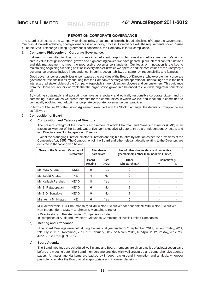#### **REPORT ON CORPORATE GOVERNANCE**

The Board of Directors of the Company continues to lay great emphasis on the broad principles of Corporate Governance. Our pursuit towards achieving good governance is an ongoing process. Compliance with the requirements under Clause 49 of the Stock Exchange Listing Agreement is concerned, the Company is in full compliance.

#### **1. Company's Philosophy on Corporate Governance:**

Indokem is committed to doing its business in an efficient, responsible, honest and ethical manner. We aim to create value through innovation, growth and high earning power. We have geared up our internal control functions and risk management to meet the progressive governance standards. Our focus on innovation is the key to maintaining or gaining a leading position in every market in which we operate and the core values of the Company's governance process include independence, integrity, accountability, transparency, responsibility and fairness.

Good governance responsibilities encompasses the activities of the Board of Directors, who execute their corporate governance responsibilities by ensuring that the Company's strategic and operational undertakings are in the best interests of all stakeholders of the Company, especially shareholders, employees and our customers. This guidance from the Board of Directors warrants that the organisation grows in a balanced fashion with long-term benefits to all.

By working sustainably and accepting our role as a socially and ethically responsible corporate citizen and by committing to our values we create benefits for the communities in which we live and Indokem is committed to continually evolving and adopting appropriate corporate governance best practices.

In terms of Clause 49 of the Listing Agreement executed with the Stock Exchange, the details of Compliance are as follows :

#### **2. Composition of Board**

#### **a) Composition and Category of Directors**

The present strength of the Board is six directors of which Chairman and Managing Director (CMD) is an Executive Member of the Board. Out of five Non-Executive Directors, three are Independent Directors and two Directors are Non Independent Director.

Except the Managing Director, all other Directors are eligible to retire by rotation as per the provisions of the Companies Act, 1956. The Composition of the Board and other relevant details relating to the Directors are depicted in the table given below:

| Name of the Director | Category of<br><b>Directorship</b> | Attendance<br>particulars |            | No. of other directorships and committee<br>(memberships other than Indokem Limited) |   |            |
|----------------------|------------------------------------|---------------------------|------------|--------------------------------------------------------------------------------------|---|------------|
|                      |                                    | <b>Board</b>              | Last       | Other                                                                                |   | Committee@ |
|                      |                                    | <b>Meeting</b>            | <b>AGM</b> | Directorships#                                                                       | M | C          |
| Mr. M.K. Khatau      | <b>CMD</b>                         | 9                         | Yes        | 9                                                                                    |   |            |
| Ms. Leela Khatau     | NE.                                | 4                         | <b>No</b>  | 9                                                                                    |   |            |
| Mr. Kailash Pershad  | NE/ID                              | 8                         | Yes        |                                                                                      |   |            |
| Mr. S. Rajagopalan   | NE/ID                              | 6                         | No.        |                                                                                      |   |            |
| Mr. B.G. Sontakke    | NE/ID                              | 9                         | <b>No</b>  |                                                                                      |   |            |
| Mrs. Asha M. Khatau  | <b>NE</b>                          | 6                         | Yes        | 5                                                                                    |   |            |

 $M =$  Membership;  $C =$  Chairmanship; NE/ID = Non-Executive/Independent; NE/NID = Non-Executive/ Non-Independent; CMD = Chairman & Managing Director

# Directorships in Private Limited Companies included;

@ comprises of Audit and Investors' Grievance Committee of Public Limited Companies

#### **b) Meeting and Attendance**

Nine Board Meetings were held during the financial year ended 30<sup>th</sup> September, 2012, viz. on 5<sup>th</sup> May, 2011, 29th July, 2011, 1<sup>st</sup> November, 2011, 10<sup>th</sup> February, 2012, 5<sup>th</sup> March, 2012, 10<sup>th</sup> April, 2012, 7<sup>th</sup> May, 2012, 28<sup>th</sup> June, 2012, 6th August, 2012.

#### **c) Board Agenda**

The Board meetings are scheduled well in time and Board members are given a notice of at least seven days before the meeting date. The Board members are provided with well structured and comprehensive agenda papers. All major agenda items are backed by in-depth background information and analysis, wherever possible, to enable the Board to take appropriate and informed decisions.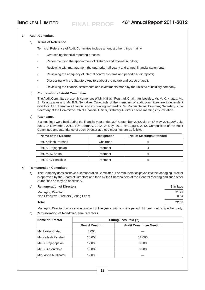#### **3. Audit Committee**

#### **a) Terms of Reference**

Terms of Reference of Audit Committee include amongst other things mainly:

- **•** Overseeing financial reporting process;
- **•** Recommending the appointment of Statutory and Internal Auditors;
- **•** Reviewing with management the quarterly, half yearly and annual financial statements;
- **•** Reviewing the adequacy of internal control systems and periodic audit reports;
- **•** Discussing with the Statutory Auditors about the nature and scope of audit;
- **•** Reviewing the financial statements and investments made by the unlisted subsidiary company.

#### **b) Composition of Audit Committee**

The Audit Committee presently comprises of Mr. Kailash Pershad, Chairman, besides, Mr. M. K. Khatau, Mr. S. Rajagopalan and Mr. B.G. Sontakke. Two-thirds of the members of audit committee are independent directors. All of them have financial and accounting knowledge. Mr. Rohan Gavas, Company Secretary is the Secretary of the Committee. Chief Financial Officer, Statutory Auditors attend meetings by invitation.

#### **c) Attendance**

Six meetings were held during the financial year ended 30<sup>th</sup> September, 2012, viz. on 5<sup>th</sup> May, 2011, 29<sup>th</sup> July, 2011, 1<sup>st</sup> November, 2011, 10<sup>th</sup> February, 2012, 7<sup>th</sup> May, 2012, 6<sup>th</sup> August, 2012. Composition of the Audit Committee and attendance of each Director at these meetings are as follows:

| Name of the Director | <b>Designation</b> | <b>No. of Meetings Attended</b> |
|----------------------|--------------------|---------------------------------|
| Mr. Kailash Pershad  | Chairman           |                                 |
| Mr. S. Rajagopalan   | Member             |                                 |
| Mr. M. K. Khatau     | Member             | 6                               |
| Mr. B. G. Sontakke   | Member             |                                 |

#### **4. Remuneration Committee**

**a)** The Company does not have a Remuneration Committee. The remuneration payable to the Managing Director is approved by the Board of Directors and then by the Shareholders at the General Meeting and such other Authorities as may be necessary.

| b)<br><b>Remuneration of Directors</b> | ₹ In lacs |
|----------------------------------------|-----------|
| Managing Director:                     | 21.72     |
| Non Executive Directors (Sitting Fees) | 0.94      |
| Total                                  | 22.66     |
|                                        |           |

Managing Director has a service contract of five years, with a notice period of three months by either party.

#### **c) Remuneration of Non-Executive Directors**

| Name of Director    | Sitting Fees Paid $(\bar{z})$ |                                |  |
|---------------------|-------------------------------|--------------------------------|--|
|                     | <b>Board Meeting</b>          | <b>Audit Committee Meeting</b> |  |
| Ms. Leela Khatau    | 8,000                         |                                |  |
| Mr. Kailash Pershad | 16,000                        | 12.000                         |  |
| Mr. S. Rajagopalan  | 12,000                        | 8,000                          |  |
| Mr. B.G. Sontakke   | 18,000                        | 8,000                          |  |
| Mrs. Asha M. Khatau | 12,000                        |                                |  |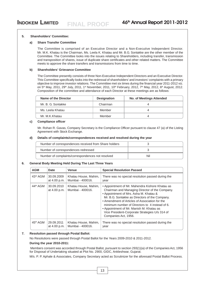#### **5. Shareholders' Committee:**

#### **a) Share Transfer Committee**

The Committee is comprised of an Executive Director and a Non-Executive Independent Director. Mr. M.K. Khatau is the Chairman, Ms. Leela K. Khatau and Mr. B.G. Sontakke are the other member of the Committee. The Committee looks into the issues relating to Shareholders, including transfer, transmission and transposition of shares, issue of duplicate share certificates and other related matters. The Committee meets to approve the share transfers and transmissions from time to time.

#### **b) Shareholders' Grievance Committee**

The Committee presently consists of three Non-Executive Independent Directors and an Executive Director. This Committee specifically looks into the redressal of shareholders' and investors' complaints with a primary objective to improve investor relations. The Committee met six times during the financial year 2011-2012 viz. on 5<sup>th</sup> May, 2011, 29<sup>th</sup> July, 2011, 1<sup>st</sup> November, 2011, 10<sup>th</sup> February, 2012, 7<sup>th</sup> May, 2012, 6<sup>th</sup> August, 2012. Composition of the committee and attendance of each Director at these meetings are as follows:

| Name of the Director | <b>Designation</b> | <b>No. of Meetings Attended</b> |
|----------------------|--------------------|---------------------------------|
| Mr. B. G. Sontakke   | Chairman           |                                 |
| Ms. Leela Khatau     | Member             |                                 |
| Mr. M.K.Khatau       | Member             |                                 |

#### **c) Compliance officer**

Mr. Rohan R. Gavas, Company Secretary is the Compliance Officer pursuant to clause 47 (a) of the Listing Agreement with Stock Exchange.

#### **d) Details of complaints/correspondences received and resolved during the year**

| Number of correspondences received from Share holders |     |
|-------------------------------------------------------|-----|
| Number of correspondences redressed                   |     |
| Number of complaints/correspondences not resolved     | Nil |

#### **6. General Body Meeting Held During The Last Three Years**

| <b>AGM</b>           | <b>Date</b>                | <b>Venue</b>                             | <b>Special Resolution Passed</b>                                                                                                                                                                                                                                                                                                                                                                                        |
|----------------------|----------------------------|------------------------------------------|-------------------------------------------------------------------------------------------------------------------------------------------------------------------------------------------------------------------------------------------------------------------------------------------------------------------------------------------------------------------------------------------------------------------------|
| 43rd AGM             | 30.09.2009                 | Khatau House, Mahim,                     | There was no special resolution passed during the                                                                                                                                                                                                                                                                                                                                                                       |
|                      | at 4.00 p.m.               | Mumbai - 400016.                         | year                                                                                                                                                                                                                                                                                                                                                                                                                    |
| 44 <sup>th</sup> AGM | 30.09.2010<br>at 4.00 p.m. | Khatau House, Mahim,<br>Mumbai - 400016. | • Appointment of Mr. Mahendra Kishore Khatau as<br>Chairman and Managing Director of the Company.<br>• Appointment of Mrs. Asha M. Khatau &<br>Mr. B.G. Sontakke as Directors of the Company.<br>• Amendment of Articles of Association for the<br>minimum number of Directors to 4 instead of 6.<br>• Appointment of Mr. Manish M. Khatau as<br>Vice President-Corporate Strategies U/s 314 of<br>Companies Act, 1956. |
| 45 <sup>th</sup> AGM | 29.09.2011                 | Khatau House, Mahim,                     | There was no special resolution passed during the                                                                                                                                                                                                                                                                                                                                                                       |
|                      | at 4.00 p.m.               | Mumbai - 400016.                         | year                                                                                                                                                                                                                                                                                                                                                                                                                    |

#### **7. Resolution passed through Postal Ballot:**

No Resolutions were passed through Postal Ballot for the Years 2009-2010 & 2011-2012.

#### **During the year 2010-2011:**

 Members consent was accorded through Postal Ballot, pursuant to section 293(1)(a) of the Companies Act, 1956 for Disposal of Undertaking situated at Plot No. 2900, GIDC, Ankleshwar, Gujarat.

M/s. P. P. Aphale & Associates, Company Secretary acted as Scrutinizer for the aforesaid Postal Ballot Process.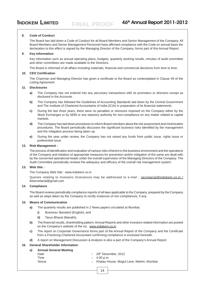#### **8. Code of Conduct**

The Board has laid down a Code of Conduct for all Board Members and Senior Management of the Company. All Board Members and Senior Management Personnel have affirmed compliance with the Code on annual basis the declaration to this effect is signed by the Managing Director of the Company, forms part of this Annual Report.

#### **9. Key Information:**

Key information such as annual operating plans, budgets, quarterly working results, minutes of audit committee and other committees are made available to the Directors.

The Board is informed of all affairs including materials, financial and commercial decisions from time to time.

#### **10. CEO Certification**

The Chairman and Managing Director has given a certificate to the Board as contemplated in Clause 49 of the Listing Agreement.

#### **11. Disclosures**

- **a)** The Company has not entered into any pecuniary transactions with its promoters or directors except as disclosed in the Accounts*.*
- **b)** The Company has followed the Guidelines of Accounting Standards laid down by the Central Government and The Institute of Chartered Accountants of India (ICAI) in preparation of its financial statements.
- **c)** During the last three years, there were no penalties or strictures imposed on the Company either by the Stock Exchanges or by SEBI or any statutory authority for non-compliance on any matter related to capital markets.
- **d)** The Company has laid down procedures to inform Board members about the risk assessment and minimization procedures. The Board periodically discusses the significant business risks identified by the management and the mitigation process being taken up.
- **e)** During the year under review, the Company has not raised any funds from public issue, rights issue or preferential issue.

#### **12. Risk Management :**

The process of identification and evaluation of various risks inherent in the business environment and the operations of the Company and initiation of appropriate measures for prevention and/or mitigation of the same are dealt with by the concerned operational heads under the overall supervision of the Managing Directors of the Company. The Audit Committee periodically reviews the adequacy and efficacy of the overall risk management system.

#### **13. Web Site :**

The Company Web Site : www.indokem.co.in

Queries relating to Investors Grievances may be addressed to e-mail : secretarial@indokem.co.in / iklsecretarial@gmail.com

#### **14. Compliance**

The Board reviews periodically compliance reports of all laws applicable to the Company, prepared by the Company as well as steps taken by the Company to rectify instances of non compliances, if any.

#### **15. Means of Communication**

- **a)** The quarterly results are published in 2 News papers circulated at Mumbai:
	- **i)** Business Standard (English), and
	- **ii)** Tarun Bharat (Marathi).
- **b)** The financial results, shareholding pattern, Annual Reports and other investors related information are posted on the Company's website of the viz. www.indokem.co.in.
- **c)** The report on Corporate Governance forms part of the Annual Report of the Company and the Certificate from a Practicing Chartered Accountant confirming compliance is enclosed herewith.
- **d)** A report on Management Discussion & Analysis is also a part of the Company's Annual Report.

#### **16. General Shareholder Information**

| a) | <b>Annual General Meeting</b> |                                            |
|----|-------------------------------|--------------------------------------------|
|    | Date                          | $\div$ 28 <sup>th</sup> December, 2012     |
|    | Time                          | $\pm 4.00$ p.m.                            |
|    | Venue                         | : Khatau House, Mogul Lane, Mahim, Mumbai. |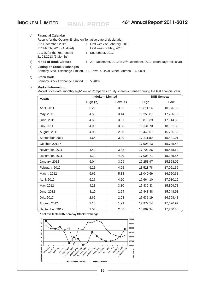#### **b) Financial Calendar**

Results for the Quarter Ending on Tentative date of declaration 31st December, 2012 **:** First week of February, 2013 31st March, 2013 (Audited) **:** Last week of May, 2013 A.G.M. for the Year ended **:** September, 2013 31.03.2013 (6 Months)

**c) Period of Book Closure** :  $20^{th}$  December, 2012 to 28<sup>th</sup> December, 2012 (Both days inclusive)

#### **d) Listing on Stock Exchanges**

Bombay Stock Exchange Limited, P. J. Towers, Dalal Street, Mumbai – 400001.

#### **e) Stock Code**

Bombay Stock Exchange Limited **:** 504092

#### **f) Market Information**

Market price data- monthly high/ low of Company's Equity shares & Sensex during the last financial year.

| <b>Month</b>      | <b>Indokem Limited</b> |                 | <b>BSE Sensex</b> |           |  |
|-------------------|------------------------|-----------------|-------------------|-----------|--|
|                   | High $(\bar{z})$       | Low $(\bar{z})$ | <b>High</b>       | Low       |  |
| April, 2011       | 5.23                   | 3.59            | 19,811.14         | 18,976.19 |  |
| May, 2011         | 4.50                   | 3.44            | 19,253.87         | 17,786.13 |  |
| June, 2011        | 4.50                   | 3.81            | 18,873.39         | 17,314.38 |  |
| <b>July, 2011</b> | 4.05                   | 3.33            | 19,131.70         | 18,131.86 |  |
| August, 2011      | 4.06                   | 2.90            | 18,440.07         | 15,765.53 |  |
| September, 2011   | 4.65                   | 3.00            | 17,211.80         | 15,801.01 |  |
| October, 2011 *   |                        |                 | 17,908.13         | 15,745.43 |  |
| November, 2011    | 4.42                   | 3.88            | 17,702.26         | 15,478.69 |  |
| December, 2011    | 4.20                   | 4.20            | 17,003.71         | 15,135.86 |  |
| January, 2012     | 6.04                   | 3.99            | 17,258.97         | 15,358.02 |  |
| February, 2012    | 6.21                   | 4.95            | 18,523.78         | 17,061.55 |  |
| March, 2012       | 6.65                   | 5.33            | 18,040.69         | 16,920.61 |  |
| April, 2012       | 6.27                   | 4.50            | 17,664.10         | 17,010.16 |  |
| May, 2012         | 4.28                   | 3.10            | 17,432.33         | 15,809.71 |  |
| June, 2012        | 3.10                   | 2.24            | 17,448.48         | 15,748.98 |  |
| <b>July, 2012</b> | 2.65                   | 2.08            | 17,631.19         | 16,598.48 |  |
| August, 2012      | 2.10                   | 1.99            | 17,972.54         | 17,026.97 |  |
| September, 2012   | 2.54                   | 2.00            | 18,869.94         | 17,250.80 |  |

**\* Not available with Bombay Stock Exchange.**

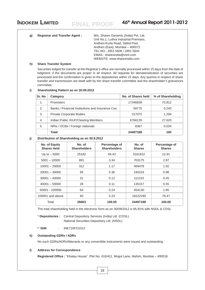| (d | <b>Registrar and Transfer Agent:</b> | M/s. Sharex Dynamic (India) Pvt. Ltd.<br>Unit No.1, Luthra Industrial Premises,<br>Andheri-Kurla Road, Safed Pool,<br>Andheri (East), Mumbai - 400072.<br>TEL.NO.: 2851 5606 / 2851 5644 |
|----|--------------------------------------|------------------------------------------------------------------------------------------------------------------------------------------------------------------------------------------|
|    |                                      |                                                                                                                                                                                          |
|    |                                      | EMAIL: sharexindia@vsnl.com                                                                                                                                                              |
|    |                                      | WEBSITE: www.sharexindia.com                                                                                                                                                             |

#### **h) Share Transfer System**

Securities lodged for transfer at the Registrar's office are normally processed within 15 days from the date of lodgment, if the documents are proper in all respect. All requests for dematerialization of securities are processed and the confirmation is given to the depositories within 15 days. Any queries in respect of share transfer and transmission are dealt with by the share transfer committee and the shareholder's grievances committee.

#### **i) Shareholding Pattern as on 30.09.2012**

| Sr. No | Category                                          | No. of Shares held | % of Shareholding |
|--------|---------------------------------------------------|--------------------|-------------------|
| 1.     | <b>Promoters</b>                                  | 17346839           | 70.812            |
| 2.     | Banks / Financial Institutions and Insurance Cos. | 58775              | 0.240             |
| 3.     | <b>Private Corporate Bodies</b>                   | 317072             | 1.294             |
| 4.     | Indian Public /HUF/Clearing Members               | 6766135            | 27.620            |
| 5.     | NRIs / OCBs / Foreign nationals                   | 8367               | 0.034             |
|        | Total                                             | 24497188           | 100               |

#### **j) Distribution of Shareholding as on 30.9.2012**

| No. of Equity<br><b>Shares Held</b> | No. of<br><b>Shareholders</b> | Percentage of<br><b>Shareholders</b> | No. of<br><b>Shares</b> | Percentage of<br><b>Shares</b> |
|-------------------------------------|-------------------------------|--------------------------------------|-------------------------|--------------------------------|
| Up to $-5000$                       | 25182                         | 94.43                                | 3161622                 | 12.91                          |
| $5001 - 10000$                      | 891                           | 3.34                                 | 703175                  | 2.87                           |
| $10001 - 20000$                     | 312                           | 1.17                                 | 469478                  | 1.92                           |
| $20001 - 30000$                     | 95                            | 0.36                                 | 240103                  | 0.98                           |
| $30001 - 40000$                     | 31                            | 0.12                                 | 111233                  | 0.45                           |
| $40001 - 50000$                     | 28                            | 0.11                                 | 135157                  | 0.55                           |
| 50001 - 100000                      | 64                            | 0.24                                 | 454130                  | 1.85                           |
| 100001 and above                    | 60                            | 0.23                                 | 19222290                | 78.47                          |
| Total                               | 26663                         | 100.00                               | 24497188                | 100.00                         |

The total shareholding held in the electronic form as on 30/09/2012 is 85.81% with NSDL & CDSL

\* **Depositories :** Central Depository Services (India) Ltd. (CDSL) National Securities Depository Ltd. (NSDL)

**\* ISIN** : INE716FO1012

#### **k) Outstanding GDRs / ADRs**

No such GDRs/ADRs/Warrants or any convertible instruments were issued and outstanding.

#### **l) Address for Correspondence**

**Registered Office :** "Khatau House", Plot No. 410/411, Mogul Lane, Mahim, Mumbai – 400016.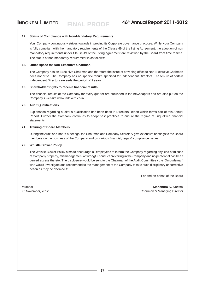#### **17. Status of Compliance with Non-Mandatory Requirements**

Your Company continuously strives towards improving its Corporate governance practices. Whilst your Company is fully compliant with the mandatory requirements of the Clause 49 of the listing Agreement, the adoption of non mandatory requirements under Clause 49 of the listing agreement are reviewed by the Board from time to time. The status of non mandatory requirement is as follows:

#### **18. Office space for Non-Executive Chairman**

The Company has an Executive Chairman and therefore the issue of providing office to Non-Executive Chairman does not arise. The Company has no specific tenure specified for Independent Directors. The tenure of certain Independent Directors exceeds the period of 9 years.

#### **19. Shareholder' rights to receive financial results**

The financial results of the Company for every quarter are published in the newspapers and are also put on the Company's website www.indokem.co.in.

#### **20. Audit Qualifications**

Explanation regarding auditor's qualification has been dealt in Directors Report which forms part of this Annual Report. Further the Company continues to adopt best practices to ensure the regime of unqualified financial statements.

#### **21. Training of Board Members**

During the Audit and Board Meetings, the Chairman and Company Secretary give extensive briefings to the Board members on the business of the Company and on various financial, legal & compliance issues.

#### **22. Whistle Blower Policy**

The Whistle Blower Policy aims to encourage all employees to inform the Company regarding any kind of misuse of Company property, mismanagement or wrongful conduct prevailing in the Company and no personnel has been denied access thereto. The disclosure would be sent to the Chairman of the Audit Committee / the 'Ombudsman' who would investigate and recommend to the management of the Company to take such disciplinary or corrective action as may be deemed fit.

For and on behalf of the Board

Mumbai **Mahendra K. Khatau** 9th November, 2012 Chairman & Managing Director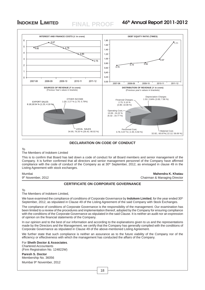## **FINAL PROOF**



#### **DECLARATION ON CODE OF CONDUCT**

To

#### The Members of Indokem Limited

This is to confirm that Board has laid down a code of conduct for all Board members and senior management of the Company. It is further confirmed that all directors and senior management personnel of the Company have affirmed compliance with the code of conduct of the Company as at 30<sup>th</sup> September, 2012, as envisaged in clause 49 in the Listing Agreement with stock exchanges.

Mumbai **Mahendra K. Khatau** 9th November, 2012 **Chairman & Managing Director** Chairman & Managing Director

#### **CERTIFICATE ON CORPORATE GOVERNANCE**

To

#### The Members of Indokem Limited,

We have examined the compliance of conditions of Corporate Governance by **Indokem Limited**, for the year ended 30<sup>th</sup> September, 2012, as stipulated in Clause 49 of the Listing Agreement of the said Company with Stock Exchanges.

The compliance of conditions of Corporate Governance is the responsibility of the management. Our examination has been limited to a review of the procedures and implementation thereof, adopted by the Company for ensuring compliance with the conditions of the Corporate Governance as stipulated in the said Clause. It is neither an audit nor an expression of opinion on the financial statements of the Company.

In our opinion and to the best of our information and according to the explanations given to us and the representations made by the Directors and the Management, we certify that the Company has generally complied with the conditions of Corporate Governance as stipulated in Clause 49 of the above-mentioned Listing Agreement.

We further state that such compliance is neither an assurance as to the future viability of the Company nor of the efficiency or effectiveness with which the management has conducted the affairs of the Company.

#### For **Sheth Doctor & Associates**. Chartered Accountants

(Firm Registration No. 124822W)

#### **Paresh S. Doctor** Membership No. 36056 Mumbai 9<sup>th</sup> November, 2012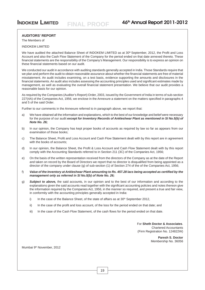#### **AUDITORS' REPORT**

The Members of

#### INDOKEM LIMITED

We have audited the attached Balance Sheet of INDOKEM LIMITED as at 30<sup>th</sup> September, 2012, the Profit and Loss Account and also the Cash Flow Statement of the Company for the period ended on that date annexed thereto. These financial statements are the responsibility of the Company's Management. Our responsibility is to express an opinion on these financial statements based on our audit.

We conducted our audit in accordance with auditing standards generally accepted in India. Those Standards require that we plan and perform the audit to obtain reasonable assurance about whether the financial statements are free of material misstatement. An audit includes examining, on a test basis, evidence supporting the amounts and disclosures in the financial statements. An audit also includes assessing the accounting principles used and significant estimates made by management, as well as evaluating the overall financial statement presentation. We believe that our audit provides a reasonable basis for our opinion.

As required by the Companies (Auditor's Report) Order, 2003, issued by the Government of India in terms of sub-section 227(4A) of the Companies Act, 1956, we enclose in the Annexure a statement on the matters specified in paragraphs 4 and 5 of the said Order.

Further to our comments in the Annexure referred to in paragraph above, we report that:

- a) We have obtained all the information and explanations, which to the best of our knowledge and belief were necessary for the purpose of our audit *except for Inventory Records of Ankleshwar Plant as mentioned in Sl No.5(b) of Note No. 26;*
- b) In our opinion, the Company has kept proper books of accounts as required by law so far as appears from our examination of those books;
- c) The Balance Sheet, Profit and Loss Account and Cash Flow Statement dealt with by this report are in agreement with the books of accounts:
- d) In our opinion, the Balance Sheet, the Profit & Loss Account and Cash Flow Statement dealt with by this report comply with the Accounting Standards referred to in Section 211 (3C) of the Companies Act, 1956;
- e) On the basis of the written representation received from the directors of the Company as at the date of the Report and taken on record by the Board of Directors we report that no director is disqualified from being appointed as a director of the company under clause (g) of sub-section (1) of Section 274 of the of the Companies Act, 1956;
- f) *Value of the Inventory at Ankleshwar Plant amounting to Rs. 457.28 lacs being accepted as certified by the management only as referred in Sl No.5(b) of Note No. 26;*
- g) *Subject to above,* the said accounts, in our opinion and to the best of our information and according to the explanations given the said accounts read together with the significant accounting policies and notes thereon give the information required by the Companies Act, 1956, in the manner so required, and present a true and fair view, in conformity with the accounting principles generally accepted in India:
	- i) In the case of the Balance Sheet, of the state of affairs as at  $30<sup>th</sup>$  September 2012,
	- ii) In the case of the profit and loss account, of the loss for the period ended on that date; and
	- iii) In the case of the Cash Flow Statement, of the cash flows for the period ended on that date.

For **Sheth Doctor & Associates**. Chartered Accountants (Firm Registration No. 124822W)

> **Paresh S. Doctor** Membership No. 36056

Mumbai 9<sup>th</sup> November, 2012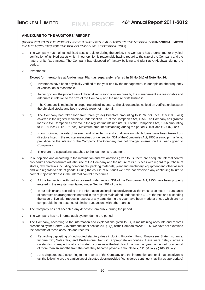#### **ANNEXURE TO THE AUDITORS' REPORT**

*(REFERRED TO IN THE REPORT OF EVEN DATE OF THE AUDITORS TO THE MEMBERS OF* **INDOKEM LIMITED** *ON THE ACCOUNTS FOR THE PERIOD ENDED 30th SEPTEMBER, 2012)*

- 1. The Company has maintained fixed assets register during the period. The Company has programme for physical verification of its fixed assets which in our opinion is reasonable having regard to the size of the Company and the nature of its fixed assets. The Company has disposed off factory building and plant at Ankleshwar during the period.
- 2. Inventories:

#### **Except for Inventories at Ankleshwar Plant as separately referred in Sl No.5(b) of Note No. 26:**

- a) Inventories have been physically verified at the year end by the management. In our opinion, the frequency of verification is reasonable.
- b) In our opinion, the procedures of physical verification of inventories by the management are reasonable and adequate in relation to the size of the Company and the nature of its business.
- c) The Company is maintaining proper records of inventory. The discrepancies noticed on verification between the physical stocks and book records were not material.
- 3. a) The Company had taken loan from three (three) Directors amounting to  $\bar{\zeta}$  768.53 Lacs ( $\bar{\zeta}$  688.83 Lacs) covered in the register maintained under section 301 of the Companies Act, 1956. The Company has granted loans to five Companies covered in the register maintained u/s. 301 of the Companies Act, 1956 amounting to  $\bar{\tau}$  159 lacs ( $\bar{\tau}$  127.02 lacs), Maximum amount outstanding during the period  $\bar{\tau}$  159 lacs (127.02) lacs.
	- b) In our opinion, the rate of interest and other terms and conditions on which loans have been taken from directors listed in the register maintained under section 301 of the Companies Act, 1956 are not, prima facie, prejudicial to the interest of the Company. The Company has not charged interest on the Loans given to Companies.
	- c) There are no stipulations, attached to the loan for its repayment.
- 4. In our opinion and according to the information and explanations given to us, there are adequate internal control procedures commensurate with the size of the Company and the nature of its business with regard to purchase of stores, raw materials including components, packing materials, plant and machinery, equipment and other assets and with regards to sale of goods. During the course of our audit we have not observed any continuing failure to correct major weakness in the internal control procedures.
- 5. a) All the transaction with parties covered under section 301 of the Companies Act, 1956 have been properly entered in the register maintained under Section 301 of the Act.
	- b) In our opinion and according to the information and explanation given to us, the transaction made in pursuance of contracts or arrangements entered in the register maintained under section 301 of the Act, and exceeding the value of five lakh rupees in respect of any party during the year have been made at prices which are not comparable in the absence of similar transactions with other parties.
- 6. The Company has not accepted any deposits from public during the period.
- 7. The Company has no internal audit system during the period.
- 8. The Company, according to the information and explanations given to us, is maintaining accounts and records prescribed by the Central Government under section 209 (1)(d) of the Companies Act, 1956. We have not examined the contents of these accounts and records.
	- a) Regarding depositing of undisputed statutory dues including Provident Fund, Employees State Insurance, Income Tax, Sales Tax, and Professional Tax with appropriate authorities, there were delays. arrears outstanding in respect of all such statutory dues as at the last day of the financial year concerned for a period of more than six months from the date they became payable amounts to  $\bar{\zeta}$  111.66 lacs ( $\bar{\zeta}$  165.95 lacs).
	- b) As at Sept 30, 2012 according to the records of the Company and the information and explanations given to us, the following are the particulars of disputed dues (provided / considered contingent liability as appropriate)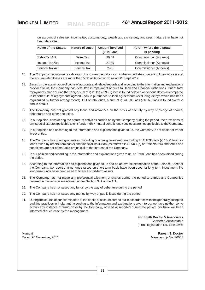on account of sales tax, income tax, customs duty, wealth tax, excise duty and cess matters that have not been deposited.

| Name of the Statute | <b>Nature of Dues</b> | <b>Amount involved</b><br>$(3\overline{5})$ in Lacs) | Forum where the dispute<br>is pending |
|---------------------|-----------------------|------------------------------------------------------|---------------------------------------|
| Sales Tax Act       | Sales Tax             | 30.49                                                | Commissioner (Appeals)                |
| Income Tax Act      | Income Tax            | 21.89                                                | Commissioner (Appeals)                |
| Service Tax Act     | Service Tax           | 2.78                                                 | Commissioner (Appeals)                |

10. The Company has incurred cash loss in the current period as also in the immediately preceding financial year and the accumulated losses are more than 50% of its net worth as at  $30<sup>th</sup>$  Sept 2012.

11. Based on the examination of books of accounts and related records and according to the information and explanations provided to us, the Company has defaulted in repayment of dues to Bank and Financial institutions. Out of total repayments made during the year, a sum of  $\bar{\tau}$  20 lacs (99.92) lacs is found delayed on various dates as compared to its schedule of repayments agreed upon in pursuance to loan agreements (excluding delays which has been regularized by further arrangements). Out of total dues, a sum of ₹1410.00 lacs (740.65) lacs is found overdue and in default.

12. The Company has not granted any loans and advances on the basis of security by way of pledge of shares, debentures and other securities.

13. In our opinion, considering the nature of activities carried on by the Company during the period, the provisions of any special statute applicable to chit fund / nidhi / mutual benefit fund / societies are not applicable to the Company.

- 14. In our opinion and according to the information and explanations given to us, the Company is not dealer or trader in securities.
- 15. The Company has given guarantees (including counter guarantees) amounting to  $\bar{\tau}$  1030 lacs ( $\bar{\tau}$  1030 lacs) for loans taken by others from banks and financial institution (as referred in Sl.No.1(e) of Note No. 26) and terms and conditions are not prima facie prejudicial to the interest of the Company.
- 16. In our opinion and according to the information and explanations given to us, no Term Loan has been raised during the period.
- 17. According to the information and explanations given to us and on an overall examination of the Balance Sheet of the Company, we report that no funds raised on short-term basis have been used for long-term investment. No long-term funds have been used to finance short-term assets.
- 18. The Company has not made any preferential allotment of shares during the period to parties and Companies covered in the register maintained under Section 301 of the Act.
- 19. The Company has not raised any funds by the way of debenture during the period.
- 20. The Company has not raised any money by way of public issue during the period.
- 21. During the course of our examination of the books of account carried out in accordance with the generally accepted auditing practices in India, and according to the information and explanations given to us, we have neither come across any instance of fraud on or by the Company, noticed or reported during the period, nor have we been informed of such case by the management.

For **Sheth Doctor & Associates** Chartered Accountants (Firm Registration No. 124822W)

Mumbai **Paresh S. Doctor** Dated: 9th November, 2012 Membership No. 36056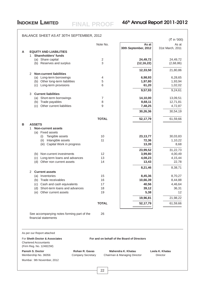|   |   |                                                                                          |              |                                             | (₹ in '000)        |
|---|---|------------------------------------------------------------------------------------------|--------------|---------------------------------------------|--------------------|
|   |   |                                                                                          | Note No.     | As at                                       | As at              |
| A |   | <b>EQUITY AND LIABILITIES</b>                                                            |              | 30th September, 2012                        | 31st March, 2011   |
|   | 1 | <b>Shareholders' funds</b>                                                               |              |                                             |                    |
|   |   | (a) Share capital                                                                        | $\sqrt{2}$   | 24,49,72                                    | 24,49,72           |
|   |   | (b) Reserves and surplus                                                                 | 3            | (12, 16, 22)                                | (2,68,86)          |
|   | 2 | <b>Non-current liabilities</b>                                                           |              | 12,33,50                                    | 21,80,86           |
|   |   | (a) Long-term borrowings                                                                 | 4            | 6,98,93                                     | 6,28,65            |
|   |   | (b) Other long-term liabilities                                                          | 5            | 1,97,80                                     | 1,93,94            |
|   |   | (c) Long-term provisions                                                                 | 6            | 61,20                                       | 1,02,02            |
|   |   |                                                                                          |              | 9,57,93                                     | 9,24,61            |
|   | 3 | <b>Current liabilities</b>                                                               |              |                                             |                    |
|   |   | (a) Short-term borrowings                                                                | 7            | 14,10,00                                    | 13,09,51           |
|   |   | (b) Trade payables                                                                       | 8            | 8,68,11                                     | 12,71,81           |
|   |   | Other current liabilities<br>(c)                                                         | 9            | 7,48,25                                     | 4,72,87            |
|   |   |                                                                                          |              | 30,26,36                                    | 30,54,19           |
|   |   |                                                                                          | <b>TOTAL</b> | 52,17,79                                    | 61,59,66           |
| в |   | <b>ASSETS</b>                                                                            |              |                                             |                    |
|   | 1 | <b>Non-current assets</b>                                                                |              |                                             |                    |
|   |   | (a) Fixed assets<br>Tangible assets<br>(i)                                               | 10           | 23, 13, 77                                  | 30,03,83           |
|   |   | Intangible assets<br>(ii)                                                                | 11           | 72,36                                       | 1,10,22            |
|   |   | (iii) Capital Work in progress                                                           |              | 13,39                                       | 8,68               |
|   |   |                                                                                          |              | 23,99,52                                    | 31,22,73           |
|   |   | (b) Non-current investments                                                              | 12           | 3,99,80                                     | 4,00,49            |
|   |   | Long-term loans and advances<br>(c)                                                      | 13           | 4,08,23                                     | 4,15,44            |
|   |   | (d) Other non current assets                                                             | 14           | 13,43                                       | 22,78              |
|   |   |                                                                                          |              | 8,21,46                                     | 8,38,71            |
|   | 2 | <b>Current assets</b>                                                                    |              |                                             |                    |
|   |   | (a) Inventories<br>(b) Trade receivables                                                 | 15<br>16     | 8,45,36                                     | 8,70,27            |
|   |   | (c) Cash and cash equivalents                                                            | 17           | 10,66,39<br>40,56                           | 8,44,88<br>4,46,64 |
|   |   | Short-term loans and advances<br>(d)                                                     | 18           | 39,12                                       | 36,31              |
|   |   | Other current assets<br>(e)                                                              | 19           | 5,38                                        | 12                 |
|   |   |                                                                                          |              | 19,96,81                                    | 21,98,22           |
|   |   |                                                                                          | <b>TOTAL</b> | 52,17,79                                    | 61,59,66           |
|   |   |                                                                                          |              |                                             |                    |
|   |   | See accompanying notes forming part of the<br>financial statements                       | 26           |                                             |                    |
|   |   |                                                                                          |              |                                             |                    |
|   |   | As per our Report attached                                                               |              |                                             |                    |
|   |   | For Sheth Doctor & Associates<br><b>Chartered Accountants</b><br>(Firm Reg. No. 124822W) |              | For and on behalf of the Board of Directors |                    |
|   |   | <b>Paresh S. Doctor</b><br><b>Rohan R. Gavas</b>                                         |              | Mahendra K. Khatau                          | Leela K. Khatau    |
|   |   | <b>Company Secretary</b><br>Membership No. 36056                                         |              | Chairman & Managing Director                | Director           |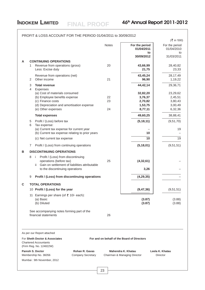## As per our Report attached For **Sheth Doctor & Associates For and on behalf of the Board of Directors** Chartered Accountants (Firm Reg. No. 124822W) PROFIT & LOSS ACCOUNT FOR THE PERIOD 01/04/2011 to 30/09/2012  $(\bar{z}$  in '000) Notes **For the period** For the period **01/04/2011** 01/04/2010 **to** to **30/09/2012** 31/03/2011 **A CONTINUING OPERATIONS** 1 Revenue from operations (gross) 20 **43,66,99** 28,40,82 Less: Excise duty **23,33 23,33** Revenue from operations (net) **43,45,24** 28,17,49 2 Other income 21 **96,90** 1,19,22 3 **Total revenue 44,42,14** 29,36,71 4 Expenses (a) Cost of materials consumed **32,82,20** 23,29,62 (b) Employee benefits expense  $22$  **3,76,37**  $\Big|$  2,45,51 (c) Finance costs 23 **2,70,82** 3,80,43 (d) Depreciation and amortisation expense **1,53,75** 3,00,49 (e) Other expenses 24 **8,77,11** 6,32,36 **Total expenses** 38,88,41 5 Profit / (Loss) before tax **(5,18,11)** (9,51,70) 6 Tax expense: (a) Current tax expense for current year  $19$ (b) Current tax expense relating to prior years **10** – (c) Net current tax expense **10** 19 19 7 Profit / (Loss) from continuing operations **(5,18,01)** (9,51,51) **B DISCONTINUING OPERATIONS** 8 i Profit / (Loss) from discontinuing operations (before tax) 25 **(4,32,61)** – ii Gain on settlement of liabilities attributable to the discontinuing operations **3,26** – 9 **Profit / (Loss) from discontinuing operations (4,29,35)** – **C TOTAL OPERATIONS** 10 **Profit / (Loss) for the year (9,47,36)** (9,51,51) 11 Earnings per share (of  $\overline{5}$  10/- each): (a) Basic **(3.87)** (3.88) (b) Diluted **(3.87)** (3.88) See accompanying notes forming part of the financial statements 26

**FINAL PROOF**

**Paresh S. Doctor Rohan R. Gavas Mahendra K. Khatau Leela K. Khatau** Membership No. 36056 Company Secretary Chairman & Managing Director Director

Mumbai : 9th November, 2012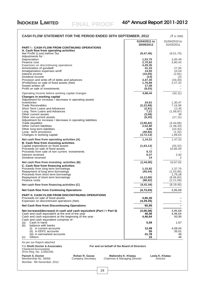| <b>CASH FLOW STATEMENT FOR THE PERIOD ENDED 30TH SEPTEMBER, 2012</b>                                                                                                               |                               | $(\bar{z})$ in '000)        |
|------------------------------------------------------------------------------------------------------------------------------------------------------------------------------------|-------------------------------|-----------------------------|
|                                                                                                                                                                                    | 01/04/2011 to                 | 01/04/2010 to               |
| <b>PART I: CASH FLOW FROM CONTINUING OPERATIONS</b>                                                                                                                                | 30/09/2012                    | 31/03/2011                  |
| A. Cash flow from operating activities<br>Net Profit/ (Loss) before Tax<br>Adjustments for:                                                                                        | (9, 47, 46)                   | (9,51,70)                   |
| Depreciation<br>Finance cost                                                                                                                                                       | 1,53,75<br>2,70,82            | 3,00,49<br>3,80,43          |
| Expenses on discontinuing operations<br>Amortization of goodwill                                                                                                                   | 4,29,35<br>41.33              | 27,55                       |
| Amalgamation expenses w/off<br>Interest income                                                                                                                                     | 14,55<br>(10, 05)             | 10,04<br>(2,92)             |
| Dividend income<br>Provision and write-off of debts and advances                                                                                                                   | (14)<br>3,47,35               | (2)<br>(33, 30)             |
| (Profit)/loss on sale of fixed assets (Net)<br>Assets written off                                                                                                                  | 1,78,89<br>17,08              | 2,27,32                     |
| Profit on sale of investments                                                                                                                                                      | (9,03)                        |                             |
| Operating Income before working capital changes<br>Changes in working capital                                                                                                      | 4,86,44                       | (42, 11)                    |
| Adjustment for increase / decrease in operating assets<br>Inventories                                                                                                              | 24,91                         | 1,30,47                     |
| <b>Trade Receivables</b><br>Short Term Loans and Advances                                                                                                                          | (2, 22, 68)<br>(2, 81)        | 7,16,96<br>12,45            |
| Long Term Loans and Advances<br>Other current assets                                                                                                                               | 7,21<br>(3,58)                | (1,58,87)<br>36             |
| Other non-current assets<br>Adjustment for increase / decrease in operating liabilities                                                                                            | (5,20)                        | (17, 11)                    |
| Trade payables<br>Other current liabilities                                                                                                                                        | (3,85,82)<br>2,52,80          | (3, 44, 66)<br>(1, 38, 33)  |
| Other long term liabilities<br>Long - term provisions                                                                                                                              | 3,86<br>(40, 82)              | (10, 32)<br>(1, 32)         |
| Changes in working capital                                                                                                                                                         | (3,72,13)                     | 1,89,63                     |
| Net cash flow from operating activities (A)<br>B. Cash flow from investing activities                                                                                              | 1,14,31                       | 1,47,52                     |
| Capital expenditure on fixed assets<br>Proceeds on sale of fixed assets                                                                                                            | (1,63,13)                     | (20, 32)<br>10,85,00        |
| Proceeds from sale of non current investments<br>Interest received                                                                                                                 | 9,72<br>8,37                  | 2,92                        |
| Dividend received                                                                                                                                                                  | 14                            | 2                           |
| Net cash flow from investing activities (B)<br>C. Cash flow from financing activities                                                                                              | (1, 44, 90)                   | 10,67,62                    |
| Proceeds from long term borrowings<br>Repayment of long term borrowings                                                                                                            | 1,15,82<br>(45, 54)           | 1,37,70<br>(1,03,85)        |
| Proceeds from short term borrowings<br>Repayment of short term borrowings                                                                                                          | (4, 12, 80)                   | 1,75,18<br>(8,06,82)        |
| Finance costs                                                                                                                                                                      | (98, 92)                      | (2, 21, 66)                 |
| Net cash flow from financing activities (C)<br><b>Net Cash flow from Continuing Operations</b>                                                                                     | (4, 41, 44)<br>(4, 72, 03)    | (8, 19, 45)<br>3,95,69      |
| <b>PART II: CASH FLOW FROM DISCONTINUING OPERATIONS</b>                                                                                                                            |                               |                             |
| Proceeds on sale of fixed assets<br>Expenses on discontinued operations (Net)                                                                                                      | 4,95,30<br>(4, 29, 35)        |                             |
| <b>Net Cash flow from Discontinuing Operations</b>                                                                                                                                 | 65,95                         |                             |
| Net increase/(decrease) in cash and cash equivalent (Part I + Part II)<br>Cash and cash equivalent at the end of the year<br>Cash and cash equivalent at the beginning of the year | (4,06,08)<br>40,56<br>4,46,64 | 3,95,69<br>4,46,64<br>50,95 |
| Cash and cash equivalent comprise of:<br>Cash in hand<br>(a)                                                                                                                       | 5,59                          | 1,67                        |
| balance with banks<br>(b)<br>in current accounts<br>(i)                                                                                                                            | 12,49                         | 4,09,04                     |
| (ii) in EEFC accounts<br>(iii) in earmarked accounts<br>Others<br>(c)                                                                                                              | 55<br>21,78<br>15             | 35,01<br>46<br>46           |
| As per our Report attached                                                                                                                                                         |                               |                             |

**FINAL PROOF**

Chartered Accountants (Firm Reg. No. 124822W)

**Paresh S. Doctor Rohan R. Gavas Mahendra K. Khatau Leela K. Khatau** Membership No. 36056 Company Secretary Chairman & Managing Director Director Paresh S. Doctor<br>Membership No. 36056<br>Mumbai : 9th November, 2012

For and on behalf of the Board of Directors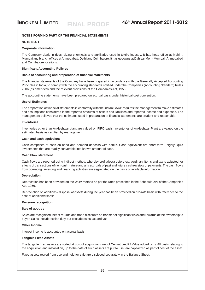#### **NOTES FORMING PART OF THE FINANCIAL STATEMENTS**

#### **NOTE NO. 1**

#### **Corporate Information**

The Company deals in dyes, sizing chemicals and auxiliaries used in textile industry. It has head office at Mahim, Mumbai and branch offices at Ahmedabad, Delhi and Coimbatore. It has godowns at Dahisar Mori - Mumbai, Ahmedabad and Coimbatore locations.

#### **Significant Accounting Policies**

#### **Basis of accounting and preparation of financial statements**

The financial statements of the Company have been prepared in accordance with the Generally Accepted Accounting Principles in India, to comply with the accounting standards notified under the Companies (Accounting Standard) Rules 2006 (as amended) and the relevant provisions of the Companies Act, 1956.

The accounting statements have been prepared on accrual basis under historical cost convention.

#### **Use of Estimates**

The preparation of financial statements in conformity with the Indian GAAP requires the management to make estimates and assumptions considered in the reported amounts of assets and liabilities and reported income and expenses. The management believes that the estimates used in preparation of financial statements are prudent and reasonable.

#### **Inventories**

Inventories other than Ankleshwar plant are valued on FIFO basis. Inventories of Ankleshwar Plant are valued on the estimated basis as certified by management.

#### **Cash and cash equivalent**

Cash comprises of cash on hand and demand deposits with banks. Cash equivalent are short term , highly liquid investments that are readily convertible into known amount of cash.

#### **Cash Flow statement**

Cash flows are reported using indirect method, whereby profit/(loss) before extraordinary items and tax is adjusted for effects of transactions of non-cash nature and any accruals of past and future cash receipts or payments. The cash flows from operating, investing and financing activities are segregated on the basis of available information.

#### **Depreciation**

Deprecation has been provided on the WDV method as per the rates prescribed in the Schedule XIV of the Companies Act, 1956.

Depreciation on additions / disposal of assets during the year has been provided on pro-rata basis with reference to the date of addition/disposal.

#### **Revenue recognition**

#### **Sale of goods :**

Sales are recognized, net of returns and trade discounts on transfer of significant risks and rewards of the ownership to buyer. Sales include excise duty but exclude sales tax and vat.

#### **Other Income**

Interest income is accounted on accrual basis.

#### **Tangible Fixed Assets**

The tangible fixed assets are stated at cost of acquisition ( net of Cenvat credit / Value added tax ). All costs relating to the acquisition and installation, up to the date of such assets are put to use, are capitalized as part of cost of the asset.

Fixed assets retired from use and held for sale are disclosed separately in the Balance Sheet.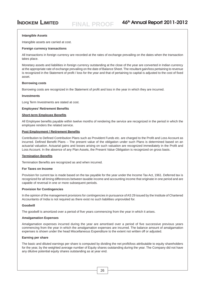#### **Intangible Assets**

Intangible assets are carried at cost.

#### **Foreign currency transactions**

All transactions in foreign currency are recorded at the rates of exchange prevailing on the dates when the transaction takes place.

Monetary assets and liabilities in foreign currency outstanding at the close of the year are converted in Indian currency at the appropriate rate of exchange prevailing on the date of Balance Sheet. The resultant gain/loss pertaining to revenue is recognized in the Statement of profit / loss for the year and that of pertaining to capital is adjusted to the cost of fixed asset.

#### **Borrowing costs**

Borrowing costs are recognized in the Statement of profit and loss in the year in which they are incurred.

#### **Investments**

Long Term Investments are stated at cost.

#### **Employees' Retirement Benefits**

#### **Short-term Employee Benefits**

All Employee benefits payable within twelve months of rendering the service are recognized in the period in which the employee renders the related service.

#### **Post Employment / Retirement Benefits**

Contribution to Defined Contribution Plans such as Provident Funds etc. are charged to the Profit and Loss Account as incurred. Defined Benefit Plans – The present value of the obligation under such Plans is determined based on an actuarial valuation. Actuarial gains and losses arising on such valuation are recognized immediately in the Profit and Loss Account. In the absence of any Plan Assets, the Present Value Obligation is recognized on gross basis.

#### **Termination Benefits**

Termination Benefits are recognized as and when incurred.

#### **For Taxes on Income**

Provision for current tax is made based on the tax payable for the year under the Income Tax Act, 1961. Deferred tax is recognized for all timing differences between taxable income and accounting income that originate in one period and are capable of reversal in one or more subsequent periods.

#### **Provision for Contingencies**

In the opinion of the management provisions for contingencies in pursuance of AS 29 issued by the Institute of Chartered Accountants of India is not required as there exist no such liabilities unprovided for.

#### **Goodwill**

The goodwill is amortized over a period of five years commencing from the year in which it arises.

#### **Amalgamation Expenses**

Amalgamation expenses incurred during the year are amortised over a period of five successive previous years commencing from the year in which the amalgamation expenses are incurred. The balance amount of amalgamation expenses is shown under the head Miscellaneous Expenditure to the extent not written off or adjusted.

#### **Earning per share**

The basic and diluted earnings per share is computed by dividing the net profit/loss attributable to equity shareholders for the vear, by the weighted average number of Equity shares outstanding during the year. The Company did not have any dilutive potential equity shares outstanding as at year end.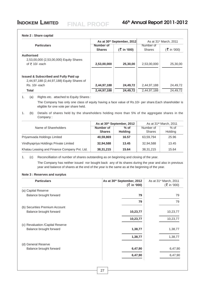#### **Note 2 : Share capital**

|                                                                                                                 | As at 30th September, 2012 |                     | As at 31 <sup>st</sup> March, 2011 |             |
|-----------------------------------------------------------------------------------------------------------------|----------------------------|---------------------|------------------------------------|-------------|
| <b>Particulars</b>                                                                                              | Number of<br><b>Shares</b> | $(\bar{z}$ in '000) | Number of<br><b>Shares</b>         | (₹ in '000) |
| <b>Authorised</b><br>2,53,00,000 (2,53,00,000) Equity Shares<br>of $\bar{z}$ 10/- each                          | 2,53,00,000                | 25,30,00            | 2,53,00,000                        | 25,30,00    |
| <b>Issued &amp; Subscribed and Fully Paid up</b><br>2,44,97,188 (2,44,97,188) Equity Shares of<br>Rs. 10/- each | 2,44,97,188                | 24,49,72            | 2,44,97,188                        | 24,49,72    |
| <b>Total</b>                                                                                                    | 2,44,97,188                | 24,49,72            | 2,44,97,188                        | 24,49,72    |

1. (a) Rights etc. attached to Equity Shares :

The Company has only one class of equity having a face value of Rs.10/- per share.Each shareholder is eligible for one vote per share held.

1. (b) Details of shares held by the shareholders holding more than 5% of the aggregate shares in the Company :

|                                              |                            | As at 30th September, 2012 | As at 31 <sup>st</sup> March, 2011 |                   |  |
|----------------------------------------------|----------------------------|----------------------------|------------------------------------|-------------------|--|
| Name of Shareholders                         | Number of<br><b>Shares</b> | $%$ of<br><b>Holding</b>   | Number of<br><b>Shares</b>         | $%$ of<br>Holding |  |
| Priyamvada Holdings Limited                  | 40,59,869                  | 16.57                      | 63,59,794                          | 25.96             |  |
| Vindhyapriya Holdings Private Limited        | 32,94,588                  | 13.45                      | 32,94,588                          | 13.45             |  |
| Khatau Leasing and Finance Company Pvt. Ltd. | 38, 31, 215                | 15.64                      | 38, 31, 215                        | 15.64             |  |

1. (c) Reconcilliation of number of shares outstanding as on beginning and closing of the year.

The Company has neither issued nor bought back any of its shares during the year and also in previous year and balance of shares at the end of the year is the same as at the beginning of the year.

#### **Note 3 : Reserves and surplus**

| <b>Particulars</b>                | As at 30th September, 2012<br>$($ ₹ in '000) | As at 31 <sup>st</sup> March, 2011<br>$(\xi$ in '000) |
|-----------------------------------|----------------------------------------------|-------------------------------------------------------|
| (a) Capital Reserve               |                                              |                                                       |
| Balance brought forward           | 79                                           | 79                                                    |
|                                   | 79                                           | 79                                                    |
| (b) Securities Premium Account    |                                              |                                                       |
| Balance brought forward           | 10,23,77                                     | 10,23,77                                              |
|                                   | 10,23,77                                     | 10,23,77                                              |
| (c) Revaluation / Capital Reserve |                                              |                                                       |
| Balance brought forward           | 1,38,77                                      | 1,38,77                                               |
|                                   | 1,38,77                                      | 1,38,77                                               |
| (d) General Reserve               |                                              |                                                       |
| Balance brought forward           | 6,47,90                                      | 6,47,90                                               |
|                                   | 6,47,90                                      | 6,47,90                                               |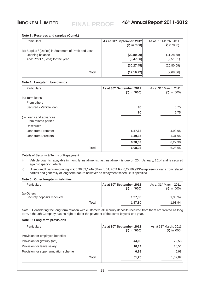## **Note 3 : Reserves and surplus (Contd.)** Particulars **As at 30<sup>th</sup> September, 2012** As at 31<sup>st</sup> March, 2011  $(\bar{\bar{\zeta}} \text{ in } '000)$   $(\bar{\bar{\zeta}} \text{ in } '000)$ (e) Surplus / (Deficit) in Statement of Profit and Loss Opening balance **(20,80,09)** (11,28,58) Add: Profit / (Loss) for the year **(9,47,36)** (9,51,51) **(30,27,45)** (20,80,09) **Total** (12,16,22) (2,68,86) **Note 4 : Long-term borrowings Particulars As at 30<sup>th</sup> September, 2012** As at 31<sup>st</sup> March, 2011  $(\bar{\zeta} \text{ in } '000)$  ( $\bar{\zeta} \text{ in } '000)$ (a) Term loans From others Secured - Vehicle loan **90** 5,75 **90** 5.75 (b) Loans and advances From related parties Unsecured Loan from Promoter **5,57,68** 4,90,95 **Loan from Directors 1,31,95 1,31,95 1,31,95 6,98,03** 6,22,90 **Total** 6,98,93 6,28,65

Details of Security & Terms of Repayment

i) Vehicle Loan is repayable in monthly installments, last installment is due on 20th January, 2014 and is secured against specific vehicle.

ii) Unsecured Loans amounting to  $\bar{\xi}$  6,98,03,124/- (March, 31, 2011 Rs. 6,22,89,993/-) represents loans from related parties and generally of long term nature however no repayment schedule is specified.

#### **Note 5 : Other long-term liabilities**

| <b>Particulars</b>                         | As at 30th September, 2012<br>$(\bar{z}$ in '000) | As at 31 <sup>st</sup> March, 2011<br>$(\xi$ in '000) |
|--------------------------------------------|---------------------------------------------------|-------------------------------------------------------|
| (a) Others :<br>Security deposits received | 1,97,80                                           | 1,93,94                                               |
| Total                                      | 1,97,80                                           | 1,93,94                                               |

Note : Considering the long term relation with customers all security deposits received from them are treated as long term, although Company has no right to defer the payment of the same beyond one year.

#### **Note 6 : Long-term provisions**

| <b>Particulars</b>                   |              | As at 30th September, 2012<br>(₹ in '000) | As at 31 <sup>st</sup> March, 2011<br>(₹ in '000) |
|--------------------------------------|--------------|-------------------------------------------|---------------------------------------------------|
| Provision for employee benefits:     |              |                                           |                                                   |
| Provision for gratuity (net)         |              | 44,08                                     | 79,53                                             |
| Provision for leave salary           |              | 10,14                                     | 15,51                                             |
| Provision for super annuation scheme |              | 6,98                                      | 6,98                                              |
|                                      | <b>Total</b> | 61,20                                     | 1,02,02                                           |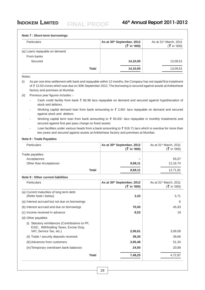#### **Note 7 : Short-term borrowings**

| <b>Particulars</b>            |              | As at 30th September, 2012<br>$($ ₹ in '000) | As at 31 <sup>st</sup> March, 2011<br>$($ ₹ in '000) |
|-------------------------------|--------------|----------------------------------------------|------------------------------------------------------|
| (a) Loans repayable on demand |              |                                              |                                                      |
| From banks                    |              |                                              |                                                      |
| Secured                       |              | 14,10,00                                     | 13,09,51                                             |
|                               | <b>Total</b> | 14,10,00                                     | 13,09,51                                             |

**FINAL PROOF**

#### Notes:

(i) As per one time settlement with bank and repayable within 12 months, the Company has not repaid first instalment of ₹13.50 crores which was due on 30th September 2012. The borrowing is secured against assets at Ankleshwar factory and premises at Mumbai.

- (ii) Previous year figures includes :-
	- Cash credit facility from bank  $\bar{\tau}$  66.96 lacs repayable on demand and secured against hypothecation of stock and debtors.
	- Working capital demand loan from bank amounting to  $\bar{\tau}$  2,60/- lacs repayable on demand and secured against stock and debtors
	- Working capital term loan from bank amounting to  $\bar{\xi}$  65.83/- lacs repayable in monthly instalments and secured against first pari pasu charge on fixed assets
	- Loan facilities under various heads from a bank amounting to  $\bar{\tau}$  916.71 lacs which is overdue for more than two years and secured against assets at Ankleshwar factory and premises at Mumbai.

#### **Note 8 : Trade Payables**

| <b>Particulars</b>     |              | As at 30th September, 2012<br>$($ ₹ in '000) | As at 31 <sup>st</sup> March, 2011<br>(₹ in '000) |
|------------------------|--------------|----------------------------------------------|---------------------------------------------------|
| Trade payables:        |              |                                              |                                                   |
| Acceptances            |              | -                                            | 55,07                                             |
| Other than Acceptances |              | 8,68,11                                      | 12,16,74                                          |
|                        | <b>Total</b> | 8,68,11                                      | 12,71,81                                          |

#### **Note 9 : Other current liabilities**

| <b>Particulars</b>                                                                                                     | As at 30th September, 2012<br>$(\bar{z}$ in '000) | As at $31st$ March, 2011<br>$($ ₹ in '000) |
|------------------------------------------------------------------------------------------------------------------------|---------------------------------------------------|--------------------------------------------|
| (a) Current maturities of long term debt<br>(Refer Note i below)                                                       | 3,33                                              | 5,71                                       |
| (a) Interest accrued but not due on borrowings                                                                         |                                                   | 6                                          |
| (b) Interest accrued and due on borrowings                                                                             | 70,50                                             | 45,93                                      |
| (c) Income received in advance                                                                                         | 8,53                                              | 19                                         |
| (d) Other payables                                                                                                     |                                                   |                                            |
| Statutory remittances (Contributions to PF,<br>(1)<br>ESIC, Withholding Taxes, Excise Duty,<br>VAT, Service Tax, etc.) | 2,06,61                                           | 3,09,09                                    |
| (ii) Trade / security deposits received                                                                                | 39,30                                             | 39,66                                      |
| (iii) Advances from customers                                                                                          | 3,95,48                                           | 51,34                                      |
| (iv) Temporary overdrawn bank balances                                                                                 | 24,50                                             | 20,89                                      |
| Total                                                                                                                  | 7,48,25                                           | 4,72,87                                    |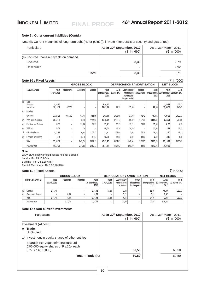#### **Note 9 : Other current liabilities (Contd.)**

Note (i): Current maturities of long-term debt (Refer point (i), in Note 4 for details of security and guarantee).

| <b>Particulars</b>                    |              | As at 30th September, 2012<br>$(\bar{z})$ in '000) | As at 31 <sup>st</sup> March, 2011<br>$($ ₹ in '000) |
|---------------------------------------|--------------|----------------------------------------------------|------------------------------------------------------|
| (a) Secured Ioans repayable on demand |              |                                                    |                                                      |
| Secured                               |              | 3,33                                               | 2,79                                                 |
| Unsecured                             |              | $\overline{\phantom{0}}$                           | 2,92                                                 |
|                                       | <b>Total</b> | 3,33                                               | 5.71                                                 |

|                                        | ( ₹ in '000)<br><b>Note 10: Fixed Assets</b>             |                          |                  |          |                                |                        |                                                                   |                           |                                |                     |                                       |
|----------------------------------------|----------------------------------------------------------|--------------------------|------------------|----------|--------------------------------|------------------------|-------------------------------------------------------------------|---------------------------|--------------------------------|---------------------|---------------------------------------|
|                                        | <b>GROSS BLOCK</b><br><b>DEPRECIATION / AMORTISATION</b> |                          |                  |          |                                |                        | <b>NET BLOCK</b>                                                  |                           |                                |                     |                                       |
| <b>TANGIBLE ASSET</b>                  | As at<br>1 April, 2011                                   | Adjustments              | <b>Additions</b> | Disposal | As at<br>30 September,<br>2012 | As at<br>1 April, 2011 | Depreciation /<br>Amortisation<br>expenses for<br>the year period | Disposal /<br>Adjustments | As at<br>30 September,<br>2012 | As at<br>2012       | As at<br>30 September, 31 March, 2011 |
| (a)<br>Land<br>Freehold<br>Leasehold   | 1,26,37<br>10,19,04                                      | 4,63,51                  |                  | -<br>-   | 1,26,37<br>14,82,55            | 72,59                  | 15,44                                                             |                           | -<br>88,03                     | 1,26,37<br>13,94,52 | 1,26,37<br>9,46,45                    |
| (b)<br><b>Buildings</b>                |                                                          |                          |                  |          |                                |                        |                                                                   |                           |                                |                     |                                       |
| Own Use                                | 23,28,25                                                 | (4,63,51)                | 63,76            | 9,66,86  | 9,61,64                        | 10,08,05               | 27,98                                                             | 5,71,42                   | 46,461                         | 4,97,03             | 13,20,21                              |
| Plant and Equipment<br> (c)            | 38,57,61                                                 | $\overline{\phantom{a}}$ | 5,13             | 22,44,62 | 16,18,12                       | 32,93,74               | 69,97                                                             | 19,62,30                  | 14,01,41                       | 2,16,71             | 5,63,86                               |
| Furniture and Fixtures<br> (d)         | 69,30                                                    |                          | 51,94            | 64,22    | 57,02                          | 65,17                  | 11,21                                                             | 61,02                     | 15,36                          | 41,66               | 4,13                                  |
| Vehicles<br>(e)                        | 45,68                                                    |                          | 10 <sup>10</sup> | ۰        | 45,78                          | 17.70                  | 14,36                                                             |                           | 32,06                          | 13,72               | 27,98                                 |
| Office Equipment<br>(f)                | 1,22,35                                                  |                          | 16,63            | 1,05,17  | 33.81                          | 1,08,94                | 7.56                                                              | 96,29                     | 20,21                          | 13,60               | 13,41                                 |
| Electrical Installation<br>$\vert$ (g) | 16,24                                                    | $\overline{\phantom{a}}$ | 12,18            | 16,24    | 12,18                          | 14,82                  | 2.02                                                              | 14,82                     | 2,02                           | 10,16               | 1,42                                  |
| Total                                  | 75,84,84                                                 |                          | 1,49,74          | 33,97,11 | 43,37,47                       | 45,81,01               | 1,48,54                                                           | 27,05,85                  | 20,23,70                       | 23,13,77            | 30,03,83                              |
| Previous year                          | 80,16,93                                                 | $\overline{\phantom{a}}$ | 9,37,22          | 13,69,31 | 75,84,84                       | 43,37,51               | 3,00,49                                                           | 56,99                     | 45,81,01                       | 30,03,83            |                                       |

#### **Note:**

WDV of Ankleshwar fixed assets held for disposal Land - Rs. 93,10,804/- Building - Rs. 2,82,26,645/- Plant & Machinery - Rs.1,98,96,326/-

#### **Note 11 : Fixed Assets**  $(\bar{\bar{\zeta}})$  in '000)

|                             |                        | <b>GROSS BLOCK</b> |          |                                | <b>DEPRECIATION / AMORTISATION</b> |                                           |                                      | <b>NET BLOCK</b>                             |               |                           |
|-----------------------------|------------------------|--------------------|----------|--------------------------------|------------------------------------|-------------------------------------------|--------------------------------------|----------------------------------------------|---------------|---------------------------|
| <b>INTANGIBLE ASSET</b>     | As at<br>1 April, 2011 | Additions          | Disposal | As at<br>30 September,<br>2012 | As at<br>Apri, 2011                | Depreciation/<br>Amortisation<br>expenses | Other<br>adiustments<br>for the year | As at<br>30 September, 30 September,<br>2012 | As at<br>2012 | As at I<br>31 March, 2011 |
| Goodwill<br>$\mathsf{I}(a)$ | .37.78                 | -                  | -        | 1,37,78                        | 27.56                              | 41,33                                     | -                                    | 68,89                                        | 68,89         | 1,10,22                   |
| (b)<br>Computer software    |                        | 8,68               |          | 8.68                           |                                    | 5.21                                      | $\overline{\phantom{a}}$             | 5,21                                         | 3,47          |                           |
| Total                       | 1.37.78                | 8,68               |          | 1,46,46                        | 27.56                              | 46,55                                     | -                                    | 74,10                                        | 72,36         | 1,10,22                   |
| Previous year               | -                      | ,37.78             |          | 1,37,78                        | -                                  | 27,56                                     | -                                    | 27,56                                        | 1,10,22       |                           |

#### **Note 12 : Non-current investments**

| <b>Particulars</b>                                                             | As at 30th September, 2012<br>(₹ in '000) | As at $31st$ March, 2011<br>(₹ in '000) |
|--------------------------------------------------------------------------------|-------------------------------------------|-----------------------------------------|
| Investment (At cost):                                                          |                                           |                                         |
| Trade<br>A<br><b>UnQuoted</b>                                                  |                                           |                                         |
| Investment in equity shares of other entities<br>a)                            |                                           |                                         |
| Bharuch Eco-Aqua Infrastructure Ltd.<br>6,05,000 equity shares of Rs.10/- each |                                           |                                         |
| (Prv. Yr. 6,05,000)<br>Total - Trade (A)                                       | 60,50<br>60,50                            | 60,50<br>60,50                          |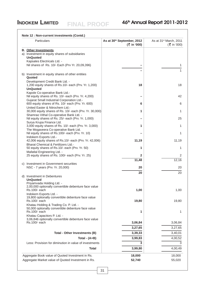| Particulars                                                                                   | As at 30th September, 2012<br>$({\frac{3}{5}}$ in '000) | As at 31 <sup>st</sup> March, 2011<br>$(\bar{z})$ in '000) |
|-----------------------------------------------------------------------------------------------|---------------------------------------------------------|------------------------------------------------------------|
| <b>B.</b> Other Investments                                                                   |                                                         |                                                            |
| a) Investment in equity shares of subsidiaries                                                |                                                         |                                                            |
| <b>UnQuoted</b>                                                                               |                                                         |                                                            |
| Kapsales Electricals Ltd. -                                                                   |                                                         | 1                                                          |
| Nil shares of Rs. 10/- Each (Prv Yr. 20,09,396)                                               |                                                         |                                                            |
| b) Investment in equity shares of other entities                                              |                                                         | 1                                                          |
| Quoted                                                                                        |                                                         |                                                            |
| Development Credit Bank Ltd. -<br>1,200 equity shares of Rs.10/- each (Prv. Yr. 1,200)        | 18                                                      | 18                                                         |
| <b>UnQuoted</b>                                                                               |                                                         |                                                            |
| Kapole Co-operative Bank Ltd.-                                                                |                                                         |                                                            |
| Nil equity shares of Rs. 10/- each (Prv. Yr. 4,200)                                           |                                                         | 42                                                         |
| Gujarat Small Industrial Corporation Ltd.-                                                    |                                                         |                                                            |
| 600 equity shares of Rs. 10/- each (Prv. Yr. 600)<br>United Easter & Nitrochem Ltd.-          | 6                                                       | 6                                                          |
| 30,000 equity shares of Rs. 10/- each (Prv. Yr. 30,000)                                       | 1                                                       | 1                                                          |
| Shamrao Vithal Co-operative Bank Ltd. -                                                       |                                                         |                                                            |
| Nil equity shares of Rs. 25/- each (Prv. Yr. 1,000)                                           |                                                         | 25                                                         |
| Surya Krupa Finance Ltd.                                                                      |                                                         |                                                            |
| 3,000 equity shares of Rs. 10/- each (Prv. Yr. 3,000)<br>The Mogaveera Co-operative Bank Ltd. | 1                                                       | 1                                                          |
| Nil equity shares of Rs.100/- each (Prv. Yr. 10)                                              |                                                         | 1                                                          |
| Indokem Exports Ltd.-<br>42,006 equity shares of Rs.10/- each (Prv. Yr. 42,006)               | 11,19                                                   | 11,19                                                      |
| <b>Bharat Chemical &amp; Fertilizers Ltd.-</b>                                                |                                                         |                                                            |
| 50 equity shares of Rs.10/- each (Prv. Yr. 50)                                                | 1                                                       | 1                                                          |
| Mafatlal Engineering Ltd. -                                                                   |                                                         |                                                            |
| 25 equity shares of Rs. 100/- each (Prv. Yr. 25)                                              | $\mathbf{2}$                                            | $\overline{2}$                                             |
|                                                                                               | 11,48                                                   | 12,16                                                      |
| c) Investment in Government securities<br>NSC - 7 years (Prv. Yr. 20,000)                     | 20                                                      | 20                                                         |
|                                                                                               |                                                         |                                                            |
| d) Investment in Debentures                                                                   | 20                                                      | 20                                                         |
| <b>UnQuoted</b>                                                                               |                                                         |                                                            |
| Priyamvada Holding Ltd. -                                                                     |                                                         |                                                            |
| 2,00,000 optionally convertible debenture face value<br>Rs.100/- each                         |                                                         |                                                            |
| Indokem Exports Ltd. -                                                                        | 1,00                                                    | 1,00                                                       |
| 19,800 optionally convertible debenture face value                                            |                                                         |                                                            |
| Rs.100/- each                                                                                 | 19,80                                                   | 19,80                                                      |
| Khatau Holding & Trading Co. P. Ltd. -                                                        |                                                         |                                                            |
| 50,000 optionally convertible debenture face value<br>Rs.100/- each                           | 1                                                       | 1                                                          |
| Khatau Capacitors P. Ltd. -                                                                   |                                                         |                                                            |
| 3,06,846 optionally convertible debenture face value                                          |                                                         |                                                            |
| Rs.100/- each                                                                                 | 3,06,84                                                 | 3,06,84                                                    |
|                                                                                               | 3,27,65                                                 | 3,27,65                                                    |
| Total - Other Investments (B)                                                                 | 3,39,33                                                 | 3,40,01                                                    |
| Total - $(A+B)$                                                                               | 3,99,83                                                 | 4,00,52                                                    |
| Less: Provision for diminution in value of investments                                        | 3                                                       | 3                                                          |
|                                                                                               |                                                         |                                                            |
| <b>Total</b>                                                                                  | 3,99,80                                                 | 4,00,49                                                    |
| Aggregate Book value of Quoted Investment in Rs.                                              | 18,000                                                  | 18,000                                                     |
| Aggregate Market value of Quoted Investment in Rs.                                            | 52,740                                                  | 55,020                                                     |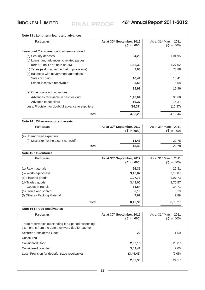| Particulars                                                                                                | As at 30th September, 2012<br>$($ ₹ in '000) | As at 31 <sup>st</sup> March, 2011<br>$($ ₹ in '000) |
|------------------------------------------------------------------------------------------------------------|----------------------------------------------|------------------------------------------------------|
| Unsecured Considered good otherwise stated                                                                 |                                              |                                                      |
| (a) Security deposits                                                                                      | 84,23                                        | 1,01,95                                              |
| (b) Loans and advances to related parties                                                                  |                                              |                                                      |
| (refer S. no 17 of note no 26)                                                                             | 1,58,39                                      | 1,27,02                                              |
| (c) Taxes paid in advance (net of provisions)                                                              | 8,98                                         | 73,88                                                |
| (d) Balances with government authorities                                                                   |                                              |                                                      |
| Sales tax paid                                                                                             | 10,41                                        | 10,41                                                |
| Export incentive receivable                                                                                | 5,58                                         | 5,58                                                 |
|                                                                                                            | 15,99                                        | 15,99                                                |
| (e) Other loans and advances                                                                               |                                              |                                                      |
| Advances receviable in cash or kind                                                                        | 1,40,64                                      | 96,60                                                |
| Advance to suppliers                                                                                       | 16,37                                        | 16,37                                                |
| Less: Provision for doubtful advance to suppliers                                                          | (16, 37)                                     | (16, 37)                                             |
| <b>Total</b>                                                                                               | 4,08,23                                      | 4,15,44                                              |
| Note 14 : Other non-current assets                                                                         |                                              |                                                      |
| Particulars                                                                                                | As at 30th September, 2012                   | As at 31 <sup>st</sup> March, 2011                   |
|                                                                                                            | $($ ₹ in '000)                               | $($ ₹ in '000)                                       |
| (a) Unamortised expenses                                                                                   |                                              |                                                      |
| (i) Misc Exp. To the extent not w/off                                                                      | 13,43                                        | 22,78                                                |
| Total                                                                                                      | 13,43                                        | 22,78                                                |
| Note 15 : Inventories                                                                                      |                                              |                                                      |
| Particulars                                                                                                | As at 30th September, 2012                   | As at 31 <sup>st</sup> March, 2011                   |
|                                                                                                            | $($ ₹ in '000)                               | $(\xi$ in '000)                                      |
| (a) Raw materials                                                                                          | 26,31                                        | 26,31                                                |
| (b) Work-in-progress                                                                                       | 3,10,87                                      | 3,10,87                                              |
| (c) Finished goods                                                                                         | 1,07,73                                      | 1,07,73                                              |
| (d) Traded goods                                                                                           | 3,48,00                                      | 3,76,57                                              |
| Goods-in-transit                                                                                           | 38,64                                        | 34,71                                                |
| (e) Stores and spares                                                                                      | 6,19                                         | 6,19                                                 |
| (f) Others - Packing Material                                                                              | 7,62                                         | 7,89                                                 |
| <b>Total</b>                                                                                               | 8,45,36                                      | 8,70,27                                              |
| Note 16 : Trade Receivables                                                                                |                                              |                                                      |
| Particulars                                                                                                | As at 30th September, 2012<br>(₹ in '000)    | As at 31 <sup>st</sup> March, 2011<br>$($ ₹ in '000) |
| Trade receivables outstanding for a period exceeding<br>six months from the date they were due for payment |                                              |                                                      |
| <b>Secured Considered Good</b>                                                                             | 22                                           | 1,50                                                 |
| Unsecured                                                                                                  |                                              |                                                      |
| <b>Considered Good</b>                                                                                     | 2,80,13                                      | 23,07                                                |
| Considered doubtful                                                                                        | 3,49,41                                      | 2,05                                                 |
| Less: Provision for doubtful trade receivables                                                             | (3, 49, 41)                                  | (2,05)                                               |
|                                                                                                            |                                              |                                                      |
|                                                                                                            | 2,80,35                                      | 24,57                                                |

#### **Note 13 : Long-term loans and advances**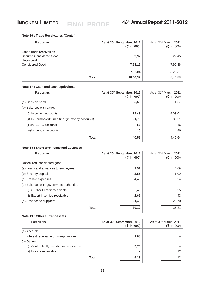#### **Note 16 : Trade Receivables (Contd.)**

| <b>Particulars</b>      |              | As at 30th September, 2012<br>$($ ₹ in '000) | As at 31 <sup>st</sup> March, 2011<br>$($ ₹ in '000) |
|-------------------------|--------------|----------------------------------------------|------------------------------------------------------|
| Other Trade receivables |              |                                              |                                                      |
| Secured Considered Good |              | 32,92                                        | 29,45                                                |
| Unsecured               |              |                                              |                                                      |
| <b>Considered Good</b>  |              | 7,53,12                                      | 7,90,86                                              |
|                         |              | 7,86,04                                      | 8,20,31                                              |
|                         | <b>Total</b> | 10,66,39                                     | 8,44,88                                              |

#### **Note 17 : Cash and cash equivalents**

| Particulars                                     | As at 30th September, 2012<br>$($ ₹ in '000) | As at 31 <sup>st</sup> March, 2011<br>$($ ₹ in '000) |
|-------------------------------------------------|----------------------------------------------|------------------------------------------------------|
| (a) Cash on hand                                | 5,59                                         | 1,67                                                 |
| (b) Balances with banks                         |                                              |                                                      |
| In current accounts<br>(i)                      | 12,49                                        | 4,09,04                                              |
| (ii) In Earmarked funds (margin money accounts) | 21,78                                        | 35,01                                                |
| (iii) In EEFC accounts                          | 55                                           | 46                                                   |
| (iv) In deposit accounts                        | 15                                           | 46                                                   |
| <b>Total</b>                                    | 40,56                                        | 4,46,64                                              |

#### **Note 18 : Short-term loans and advances**

| <b>Particulars</b>                       | As at 30th September, 2012<br>$($ ₹ in '000) | As at $31st$ March, 2011<br>$(\xi$ in '000) |
|------------------------------------------|----------------------------------------------|---------------------------------------------|
| Unsecured, considered good               |                                              |                                             |
| (a) Loans and advances to employees      | 2,51                                         | 4,69                                        |
| (b) Security deposits                    | 2,55                                         | 1,00                                        |
| (c) Prepaid expenses                     | 4,43                                         | 8,54                                        |
| (d) Balances with government authorities |                                              |                                             |
| CENVAT credit receivable<br>(i)          | 5,45                                         | 95                                          |
| (ii) Export incentive receivable         | 2,69                                         | 43                                          |
| (e) Advance to suppliers                 | 21,49                                        | 20,70                                       |
| <b>Total</b>                             | 39,12                                        | 36,31                                       |

#### **Note 19 : Other current assets**

| <b>Particulars</b>                     |              | As at 30th September, 2012<br>$(3 \bar{5} \text{ in } 900)$ | As at 31 <sup>st</sup> March, 2011<br>(₹ in '000) |
|----------------------------------------|--------------|-------------------------------------------------------------|---------------------------------------------------|
| (a) Accruals                           |              |                                                             |                                                   |
| Interest receivable on margin money    |              | 1,68                                                        |                                                   |
| (b) Others                             |              |                                                             |                                                   |
| (i) Contractually reimbursable expense |              | 3,70                                                        |                                                   |
| (ii) Income receivable                 |              |                                                             | 12                                                |
|                                        | <b>Total</b> | 5,38                                                        | 12                                                |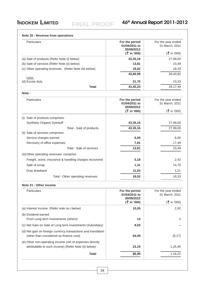| Note 20 : Revenue from operations                                                                        |                                               |                                      |
|----------------------------------------------------------------------------------------------------------|-----------------------------------------------|--------------------------------------|
| Particulars                                                                                              | For the period<br>01/04/2011 to<br>30/09/2012 | For the year ended<br>31 March, 2011 |
|                                                                                                          | $($ ₹ in '000)                                | $($ ₹ in '000)                       |
| (a) Sale of products (Refer Note (i) below)                                                              | 43,35,16                                      | 27,99,00                             |
| (b) Sale of services (Refer Note (ii) below)                                                             | 13,81                                         | 23,49                                |
| (c) Other operating revenues (Refer Note (iii) below)                                                    | 18,02                                         | 18,33                                |
|                                                                                                          | 43,66,99                                      | 28,40,82                             |
| Less:<br>(d) Excise duty                                                                                 | 21,75                                         | 23,33                                |
| <b>Total</b>                                                                                             | 43,45,24                                      | 28,17,49                             |
|                                                                                                          |                                               |                                      |
| Note:                                                                                                    |                                               |                                      |
| Particulars                                                                                              | For the period<br>01/04/2011 to               | For the year ended<br>31 March, 2011 |
|                                                                                                          | 30/09/2012                                    |                                      |
|                                                                                                          | $($ ₹ in '000)                                | $(\xi$ in '000)                      |
| (i) Sale of products comprises :                                                                         |                                               |                                      |
| Synthetic Organic Dyestuff                                                                               | 43,35,16                                      | 27,99,00                             |
| Total - Sale of products                                                                                 | 43,35,16                                      | 27,99,00                             |
| (ii) Sale of services comprises:                                                                         |                                               |                                      |
| Service charges earned                                                                                   | 6,00                                          | 6,00                                 |
| Recovery of office expenses                                                                              | 7,81                                          | 17,49                                |
| Total - Sale of services                                                                                 | 13,81                                         | 23,49                                |
| (iii) Other operating revenues comprise:                                                                 |                                               |                                      |
| Freight, octroi, insurance & handling charges recovered                                                  | 5,18                                          | 2,42                                 |
| Sale of scrap                                                                                            | 1,31                                          | 14,70                                |
| Duty drawback                                                                                            | 11,53                                         | 1,21                                 |
| Total - Other operating revenues                                                                         | 18,02                                         | 18,33                                |
| Note 21 : Other income                                                                                   |                                               |                                      |
| Particulars                                                                                              | For the period<br>01/04/2011 to               | For the year ended<br>31 March, 2011 |
|                                                                                                          | 30/09/2012                                    |                                      |
|                                                                                                          | $($ ₹ in '000)                                | $(\bar{z})$ in '000)                 |
| (a) Interest income (Refer note no.i below)                                                              | 10,05                                         | 2,92                                 |
| (b) Dividend earned                                                                                      |                                               |                                      |
| From Long term Investments (others)                                                                      | 14                                            | 2                                    |
| (c) Net Gain on Sale of Long term investments (Subsidiary)                                               | 9,03                                          |                                      |
| (d) Net gain on foreign currency transactions and translation<br>(other than considered as finance cost) | 54,49                                         | (9, 17)                              |
| (e) Other non-operating income (net of expenses directly                                                 |                                               |                                      |
| attributable to such income) (Refer Note (ii) below)                                                     | 23,19                                         | 1,25,45                              |
| <b>Total</b>                                                                                             | 96,90                                         | 1,19,22                              |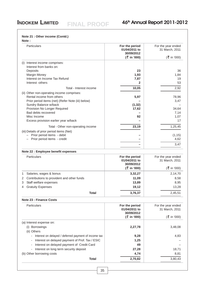#### **Note 21 : Other income (Contd.)**

| о      |  |
|--------|--|
| ٠<br>٧ |  |

| Note:                                                                           |                                                                 |                                                              |
|---------------------------------------------------------------------------------|-----------------------------------------------------------------|--------------------------------------------------------------|
| Particulars                                                                     | For the period<br>01/04/2011 to<br>30/09/2012<br>$($ ₹ in '000) | For the year ended<br>31 March, 2011<br>$(\bar{z})$ in '000) |
| (i)                                                                             |                                                                 |                                                              |
| Interest income comprises:<br>Interest from banks on:                           |                                                                 |                                                              |
| Deposits                                                                        | 23                                                              | 36                                                           |
| Margin Money                                                                    | 1,93                                                            | 1,84                                                         |
| Interest on Income Tax Refund                                                   | 7,87                                                            | 19                                                           |
| Interest -others                                                                | $\mathbf{2}$                                                    | 53                                                           |
| Total - Interest income                                                         | 10,05                                                           | 2,92                                                         |
| (ii) Other non-operating income comprises:                                      |                                                                 |                                                              |
| Rental income from others                                                       | 5,97                                                            | 78,96                                                        |
| Prior period items (net) (Refer Note (iii) below)                               |                                                                 | 3,47                                                         |
| Sundry Balance w/back                                                           | (1, 32)                                                         |                                                              |
| Provision No Longer Required                                                    | 17,62                                                           | 34,64                                                        |
| Bad debts recovered                                                             |                                                                 | 7,14                                                         |
| Misc Income<br>Excess provision earlier year w/back                             | 92                                                              | 1,07<br>17                                                   |
|                                                                                 |                                                                 |                                                              |
| Total - Other non-operating income<br>(iii) Details of prior period items (Net) | 23,19                                                           | 1,25,45                                                      |
| - Prior period items - debit                                                    |                                                                 | (1, 15)                                                      |
| Prior period items - credit                                                     |                                                                 | 4,62                                                         |
|                                                                                 |                                                                 | 3,47                                                         |
|                                                                                 |                                                                 |                                                              |
| Note 22 : Employee benefit expenses                                             |                                                                 |                                                              |
| Particulars                                                                     | For the period<br>01/04/2011 to<br>30/09/2012                   | For the year ended<br>31 March, 2011                         |
|                                                                                 | $($ ₹ in '000)                                                  | $({\frac{3}{5}}$ in '000)                                    |
| Salaries, wages & bonus<br>1.                                                   | 3,32,27                                                         | 2,14,70                                                      |
| Contributions to provident and other funds<br>2                                 | 11,09                                                           | 8,58                                                         |
| Staff welfare expenses<br>3                                                     | 13,89                                                           | 8,95                                                         |
| <b>Gratuity Expenses</b><br>4                                                   | 19,12                                                           | 13,28                                                        |
| <b>Total</b>                                                                    | 3,76,37                                                         | 2,45,51                                                      |
| <b>Note 23 : Finance Costs</b>                                                  |                                                                 |                                                              |
|                                                                                 |                                                                 |                                                              |
| Particulars                                                                     | For the period<br>01/04/2011 to                                 | For the year ended<br>31 March, 2011                         |
|                                                                                 | 30/09/2012<br>$($ ₹ in '000)                                    | $({\frac{3}{5}}$ in '000)                                    |
|                                                                                 |                                                                 |                                                              |
| (a) Interest expense on:                                                        |                                                                 |                                                              |
| (i) Borrowings                                                                  | 2,27,78                                                         | 3,48,08                                                      |
| (ii) Others                                                                     |                                                                 |                                                              |
| Interest on delayed / deferred payment of income tax                            | 9,28                                                            | 4,83                                                         |
| Interest on delayed payment of Prof. Tax / ESIC                                 | 1,25                                                            |                                                              |
| Interest on delayed payment of Credit Card                                      | 49                                                              |                                                              |
| Interest on long term security deposit                                          | 27,28                                                           | 18,71                                                        |
| (b) Other borrowing costs                                                       | 4,74                                                            | 8,81                                                         |
| <b>Total</b>                                                                    | 2,70,82                                                         | 3,80,43                                                      |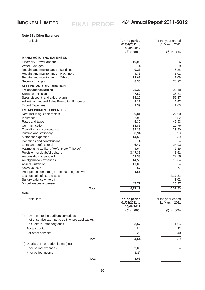**Note 24 : Other Expenses**

| <b>Particulars</b>                                   |              | For the period<br>01/04/2011 to<br>30/09/2012 | For the year ended<br>31 March, 2011 |
|------------------------------------------------------|--------------|-----------------------------------------------|--------------------------------------|
|                                                      |              | $($ ₹ in '000)                                | $(\bar{z})$ in '000)                 |
| <b>MANUFACTURING EXPENSES</b>                        |              |                                               |                                      |
| Electricity, Power and fuel                          |              | 19,00                                         | 15,26                                |
| Water Charges                                        |              | 14                                            | 9                                    |
| Repairs and maintenance - Buildings                  |              | 9,23                                          | 6,85                                 |
| Repairs and maintenance - Machinery                  |              | 4,79                                          | 1,01                                 |
| Repairs and maintenance - Others                     |              | 12,67                                         | 7,09                                 |
| Security charges                                     |              | 8,36                                          | 26,92                                |
| <b>SELLING AND DISTRIBUTION</b>                      |              |                                               |                                      |
| Freight and forwarding                               |              | 38,23                                         | 25,48                                |
| Sales commission                                     |              | 47,62                                         | 35,81                                |
| Sales discount and sales returns                     |              | 79,20                                         | 55,87                                |
| Advertisement and Sales Promotion Expenses           |              | 9,37                                          | 2,57                                 |
| <b>Export Expenses</b>                               |              | 2,39                                          | 1,66                                 |
| <b>ESTABLISHMENT EXPENSES</b>                        |              |                                               |                                      |
| Rent including lease rentals                         |              | 9,81                                          | 22,00                                |
| Insurance                                            |              | 2,98                                          | 6,52                                 |
| Rates and taxes<br>Communication                     |              | 5,30<br>18,86                                 | 45,93<br>12,76                       |
| Travelling and conveyance                            |              | 64,25                                         | 23,50                                |
| Printing and stationery                              |              | 8,94                                          | 5,93                                 |
| Motor car expenses                                   |              | 14,56                                         | 8,30                                 |
| Donations and contributions                          |              | 4                                             |                                      |
| Legal and professional                               |              | 46,47                                         | 24,93                                |
| Payments to auditors (Refer Note (i) below)          |              | 4,64                                          | 2,39                                 |
| Provision for doubtful debtors                       |              | 3,47,35                                       | 1,51                                 |
| Amortisation of good will                            |              | 41,33                                         | 27,56                                |
| Amalgamation expenses                                |              | 14,55                                         | 10,04                                |
| Assets written off                                   |              | 17,08                                         |                                      |
| Sales tax paid                                       |              | 57                                            | 3,77                                 |
| Prior period items (net) (Refer Note (ii) below)     |              | 1,66                                          |                                      |
| Loss on sale of fixed assets                         |              |                                               | 2,27,32                              |
| Sundry balance write off                             |              |                                               | 3,02                                 |
| Miscellaneous expenses                               |              | 47,72                                         | 28,27                                |
|                                                      | <b>Total</b> | 8,77,11                                       | 6,32,36                              |
| Note:                                                |              |                                               |                                      |
| Particulars                                          |              | For the period                                | For the year ended                   |
|                                                      |              | 01/04/2011 to                                 | 31 March, 2011                       |
|                                                      |              | 30/09/2012                                    |                                      |
|                                                      |              | $(\xi$ in '000)                               | $({\frac{5}{5}}$ in '000)            |
| (i) Payments to the auditors comprises               |              |                                               |                                      |
| (net of service tax input credit, where applicable): |              |                                               |                                      |
| As auditors - statutory audit                        |              | 3,57                                          | 1,66                                 |
| For tax audit                                        |              | 84                                            | 33                                   |
| For other services                                   |              | 23                                            | 40                                   |
|                                                      |              |                                               |                                      |
|                                                      | <b>Total</b> | 4,64                                          | 2,39                                 |
| (ii) Details of Prior period items (net)             |              |                                               |                                      |
| Prior period expenses                                |              | 2,05                                          |                                      |
| Prior period income                                  |              | (39)                                          |                                      |
|                                                      |              |                                               |                                      |
|                                                      | <b>Total</b> | 1,66                                          |                                      |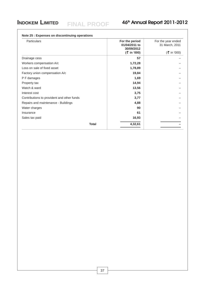| <b>Particulars</b>                         | For the period<br>01/04/2011 to<br>30/09/2012 | For the year ended<br>31 March, 2011 |
|--------------------------------------------|-----------------------------------------------|--------------------------------------|
|                                            | (₹ in '000)                                   | $($ ₹ in '000)                       |
| Drainage cess                              | 57                                            |                                      |
| Workers compensation A/c                   | 1,72,28                                       |                                      |
| Loss on sale of fixed asset                | 1,78,89                                       |                                      |
| Factory union compensation A/c             | 19,84                                         |                                      |
| P F damages                                | 1,69                                          |                                      |
| Property tax                               | 14,94                                         |                                      |
| Watch & ward                               | 13,56                                         |                                      |
| Interest cost                              | 3,75                                          |                                      |
| Contributions to provident and other funds | 3,77                                          |                                      |
| Repairs and maintenance - Buildings        | 4,88                                          |                                      |
| Water charges                              | 90                                            |                                      |
| Insurance                                  | 61                                            |                                      |
| Sales tax paid                             | 16,93                                         |                                      |
| <b>Total</b>                               | 4,32,61                                       |                                      |

#### **Note 25 : Expenses on discontinuing operations**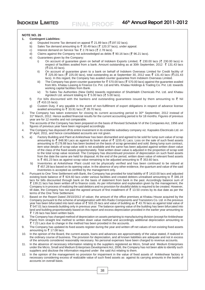## **INDOKEM LIMITED** EIN ALDEAGE 46<sup>th</sup> Annual Report 2011-2012

#### **NOTE NO. 26**

#### **1. Contingent Liabilities:**

- a) Disputed Income Tax demand on appeal  $\bar{\xi}$  21.89 lacs ( $\bar{\xi}$ 197.02 lacs).
- b) Sales Tax demand amounting to  $\bar{z}$  30.49 lacs ( $\bar{z}$  120.37 lacs), under appeal.
- c) Interest demand on Service Tax  $\bar{\tau}$  2.78 lacs ( $\bar{\tau}$  2.78 lacs).
- d) Claims against the Company not acknowledged as debts  $\bar{\xi}$  90.16 lacs ( $\bar{\xi}$  96.21 lacs).
- e) Guarantees given by the Company:
	- i) On account of guarantee given on behalf of Indokem Exports Limited,  $\bar{\zeta}$  230.00 lacs ( $\bar{\zeta}$  230.00 lacs) in respect of facilities availed from a bank. Amount outstanding as at 30th September, 2012  $\bar{\tau}$  131.43 lacs  $($  ₹131.43 lacs).
	- ii) On account of guarantee given to a bank on behalf of Indokem Overseas Limited for Credit facility of  $\frac{3}{5}$  225.00 lacs (  $\frac{3}{5}$  225.00 lacs), total outstanding as at September 30, 2012 was  $\frac{3}{5}$  131.43 lacs (  $\frac{3}{5}$  131.43 lacs). In this regard, the Company has availed counter guarantee from Indokem Overseas Limited.
	- iii) The Company has given counter guarantee for  $\bar{x}$  570.00 lacs ( $\bar{x}$  570.00 lacs) against the guarantee availed from M/s. Khatau Leasing & Finance Co. Pvt. Ltd and M/s. Khatau Holdings & Trading Co. Pvt. Ltd. towards working capital facilities from Bank.
	- iv) To Sales Tax Authorities (New Delhi) towards registration of Shubhlabh Chemicals Pvt. Ltd. and Khatau Agrotech Ltd. amount totaling to  $\bar{\tau}$  5.00 lacs ( $\bar{\tau}$  5.00 lacs).
- f) For bills discounted with the bankers and outstanding guarantees issued by them amounting to  $\bar{\tau}$  Nil  $($  ₹ 410.15 lacs).
- g) Custom Duty, if any payable in the event of non-fullfilment of export obligations in respect of advance license availed amounting to  $\bar{\tau}$  33.91 lacs ( $\bar{\tau}$  39.70 lacs).
- 2. The Company has taken extension for closing its current accounting period to 30<sup>th</sup> September, 2012 instead of 31<sup>st</sup> March, 2012. Hence audited financial results for the current accounting period is for 18 months. Figures of previous year are for 12 months and not comparable.
- 3. The accounts of the Company has been prepared on the basis of Revised Schedule VI of the Companies Act, 1956 and figures of previous year have been regrouped accordingly.
- 4. The Company has disposed off its entire investment in its erstwhile subsidiary company viz. Kapsales Electricals Ltd. on 6<sup>th</sup> April, 2011, and hence consolidated accounts are not given.
- 5. a) Factory Building and Plant at Ankleshwar has been dismantled and agreed to be sold for lump sum value of scrap amounting to  $\overline{z}$  848.90 Lacs as against its book value of  $\overline{z}$  1155.41 Lacs. Loss on the sale of such fixed assets amounting to ₹178.88 lacs has been booked on the basis of scrap generated and sold. Being lump sum contract, item wise details of scrap value sold is not available and the same has been adjusted against written down value of the class of the fixed assets proportionately. Total written down value is adjusted in the proportion of scrap sold to the total scrap value received. The Company has discontinued provision of depreciation on such fixed assets from the date the same are held for disposal. At the end of the period, written down value of relevant fixed assets is  $\bar{\xi}$  481.23 lacs as against scrap value remaining to be adjusted amounting to  $\bar{\xi}$  353.60 lacs.
	- b) Inventories at Ankelshwar Plant could not be physically verified and has been continued to be valued at 457.28 lacs based on its opening value. In the absence of any other evidence, the quantum and value of the said inventories is accepted as certified by the management only.
- 6. Pursuant to One Time Settlement with Bank, the Company has provided for total liability of  $\bar{\zeta}$  1410.00 lacs and adjusted existing book balance of  $\bar{\zeta}$  924.60 lacs under various facilities and created debtors unrealised amounting to  $\bar{\zeta}$  346.19 lacs for bills discounted through bank on the basis of statement from bank in the past. Accordingly balance sum of  $\bar{\tau}$  139.21 lacs has been written off to finance costs. As per information and explanation given by the management, the Company is in process of realizing the said debtors and no provision for doubtful debts is required to be created. However, till date, the Company has not paid the agreed amount of first installment of  $\bar{\tau}$  13.50 crores by its due date as per the terms of the One Time Settlement.
- 7. Based on the Report Dated 29/10/2012 of valuer, the amount of the office premises at Khatau House acquired by the Company pursuant to the scheme of amalgamation with M/s Radio Components and Transistors Co. Ltd. in the previous year has been bifurcated into land value of ₹ 503.25 lacs and value of building as ₹ 43.76 lacs as against total value of 547.01 lacs towards building only in previous year. The balance opening value of the building has been bifurcated into land and building proportionately based on this report and excess depreciation provided in the earlier year amounting to 7.26 lacs has been written back.
- 8. The Company has changed method of depreciation on assets pertaining to manufacturing division (except for Ankleshwar Plant) from straight line method to written down value method and accordingly additional depreciation amounting to  $\bar{\zeta}$  7.23 Lacs due to change in the method has been provided in the accounts.
- 9. The Company has updated its fixed assets register during the year and written off net values of non existing fixed assets amounting to  $\bar{z}$  17.08 lacs.
- 10. In the opinion of the Board, the current assets, loans and advances are approximately of the value stated, if realized in the ordinary course of business. The provision for depreciation, and all known liabilities are adequate and not in excess of the amounts considered reasonably necessary. No personal expenses have been charged to revenue accounts.
- 11. In the absence of necessary information relating to the suppliers registered as Micro, Small and Medium Enterprises under the Micro, Small and Medium Enterprises Development Act, 2006, the Company has not been able to identify such suppliers and disclose the information required under the said Act relating to them.
- 12. In the opinion of the management no provision for impairment in the value of fixed assets of Ankleshwar factory is necessary considering excess of realizable value of such fixed assets as against its carrying amounts in the books of accounts on overall basis.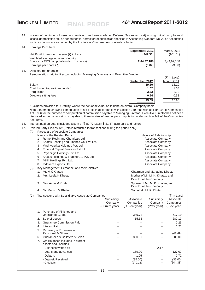$(\bar{F}$  in Lace)

13. In view of continuous losses, no provision has been made for Deferred Tax Asset (Net) arising out of carry forward losses, depreciation etc. as per prudential norms for recognition as specified in Accounting Standard No. 22 on Accounting for taxes on income as issued by the Institute of Chartered Accountants of India.

| 14. | Earnings Per Share                                                              |                 |             |
|-----|---------------------------------------------------------------------------------|-----------------|-------------|
|     |                                                                                 | September, 2012 | March, 2011 |
|     | Net Profit /(Loss) for the year ( $\bar{\tau}$ in Lacs)                         | (947.36)        | (951.51)    |
|     | Weighted average number of equity<br>Shares for EPS computation (No. of shares) | 2,44,97,188     | 2.44.97.188 |
|     | Earnings per share $(\bar{\zeta})$                                              | (3.87)          | (3.88)      |

15. Directors remuneration

Remuneration paid to directors including Managing Directors and Executive Director

**FINAL PROOF**

|                                  |                 | $\left\langle \right\rangle$ $\left\langle \right\rangle$ $\left\langle \right\rangle$ $\left\langle \right\rangle$ $\left\langle \right\rangle$ $\left\langle \right\rangle$ $\left\langle \right\rangle$ $\left\langle \right\rangle$ $\left\langle \right\rangle$ $\left\langle \right\rangle$ $\left\langle \right\rangle$ $\left\langle \right\rangle$ $\left\langle \right\rangle$ $\left\langle \right\rangle$ $\left\langle \right\rangle$ $\left\langle \right\rangle$ $\left\langle \right\rangle$ $\left\langle \right\rangle$ $\left\langle \right\rangle$ $\left\langle \right\rangle$ |
|----------------------------------|-----------------|-----------------------------------------------------------------------------------------------------------------------------------------------------------------------------------------------------------------------------------------------------------------------------------------------------------------------------------------------------------------------------------------------------------------------------------------------------------------------------------------------------------------------------------------------------------------------------------------------------|
|                                  | September, 2012 | March, 2011                                                                                                                                                                                                                                                                                                                                                                                                                                                                                                                                                                                         |
| Salary                           | 19.80           | 13.20                                                                                                                                                                                                                                                                                                                                                                                                                                                                                                                                                                                               |
| Contribution to provident funds* | 1.62            | 1.08                                                                                                                                                                                                                                                                                                                                                                                                                                                                                                                                                                                                |
| Perquisites                      | 3.33            | 2.22                                                                                                                                                                                                                                                                                                                                                                                                                                                                                                                                                                                                |
| Directors sitting fees           | 0.94            | 0.38                                                                                                                                                                                                                                                                                                                                                                                                                                                                                                                                                                                                |
|                                  | 25.69           | 16.88                                                                                                                                                                                                                                                                                                                                                                                                                                                                                                                                                                                               |

\*Excludes provision for Gratuity, where the actuarial valuation is done on overall Company basis

Note: Statement showing computation of net profit in accordance with Section 349 read with section 198 of Companies Act, 1956 for the purpose of computation of commission payable to Managing Director / Executive Director has not been disclosed as no commission is payable to them in view of loss as per computation under section 349 of the Companies Act, 1956.

16. Interest paid on Loans includes a sum of  $\bar{z}$  80.77 Lacs ( $\bar{z}$  51.47 lacs) paid to directors.

17. Related Party Disclosure: (Details restricted to transactions during the period only).

(A) Particulars of Associate Companies Name of the Related Party Nature of Relationship 1 Refnol Resin and Chemicals Ltd. Associate Company 2 Khatau Leasing and Finance Co. Pvt. Ltd. Associate Company 3 Vindhyapriya Holdings Pvt. Ltd. Associate Company Associate Company 4 Emerald Capital Services Pvt. Ltd. Associate Company 5 Priyanilgiri Holdings Pvt. Ltd. Associate Company 6 Khatau Holdings & Trading Co. Pvt. Ltd. Associate Company 7 MKK Holdings Pvt. Ltd. Associate Company 8 Indokem Exports Ltd. Associate Company Company and Associate Company (B) Key Management Personnel and their relatives 1. Mr. M K Khatau Chairman and Managing Director 2. Mrs. Leela K Khatau **Mother of Mr. M. K. Khatau, and** Mother of Mr. M. K. Khatau, and

Director of the Company 3. Mrs. Asha M Khatau Spouse of Mr. M. K. Khatau, and Director of the Company 4. Mr. Manish M Khatau Son of Mr. M. K. Khatau Nurung Son of Mr. M. K. Khatau

(C) Transactions with Subsidiary / Associate Companies ( In Lacs) Subsidiary Associate Subsidiary Associate Company Companies Company Companies (Current year) (Current year) (Prev. year) (Prev. year) 1. Purchase of Finished and Unfinished Goods – 349.72 – 617.19 2. Sale of goods – 15.63 – 282.19 3. Guarantee Commission Paid – – – 0.23 4. Interest Paid – – – 0.21 5. Recovery of Expenses – Personnel & Others – – – (42.49) 6. Guarantees & Collaterals Given – 800.00 – 800.00 7. O/s Balances included in current assets and liabilities - Balances written off  $\overline{a}$  –  $\overline{a}$  – 2.17 - Loans and advances – 159.00 – 127.02 - Debtors – 1.05 – 0.72 - Deposit Received – (35.00) – (35.00) - Creditors – (270.15) – (544.38)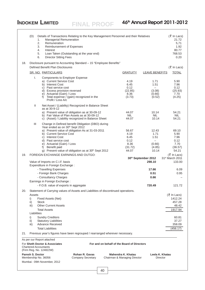|     | (D)<br>1.<br>2.<br>3.<br>4.<br>5.<br>6. | <b>Managerial Remuneration</b><br>Remuneration<br>Reimbursement of Expenses<br>Interest<br><b>Director Sitting Fees</b>                                                                               | Details of Transactions Relating to the Key Management Personnel and their Relatives<br>Loan Taken (Outstanding at the year end)                                        |                                             |                                                           |                                                                        | $(\bar{z} \ln$ Lacs)<br>21.72<br>5,71<br>1.92<br>80.77<br>768.53<br>0.20 |
|-----|-----------------------------------------|-------------------------------------------------------------------------------------------------------------------------------------------------------------------------------------------------------|-------------------------------------------------------------------------------------------------------------------------------------------------------------------------|---------------------------------------------|-----------------------------------------------------------|------------------------------------------------------------------------|--------------------------------------------------------------------------|
| 18. |                                         | Defined Benefit Plan Disclosures                                                                                                                                                                      | Disclosure pursuant to Accounting Standard - 15 "Employee Benefits"                                                                                                     |                                             |                                                           |                                                                        | $(5 \text{ In}$ Lacs)                                                    |
|     |                                         | SR. NO. PARTICULARS                                                                                                                                                                                   |                                                                                                                                                                         |                                             | <b>GRATUITY</b>                                           | <b>LEAVE BENEFITS</b>                                                  | <b>TOTAL</b>                                                             |
|     | I.                                      | <b>Components to Employer Expense</b><br>a) Current Service Cost<br>b) Interest Cost<br>c) Past service cost<br>d) Excess provision reversed<br>e) Actuarial (Gain) / Loss<br>f)<br>Profit / Loss A/c | Total expense / (gain) recognized in the                                                                                                                                |                                             | 4.19<br>6.45<br>0.12<br>(22.85)<br>8.36<br>(3.73)         | 1.71<br>1.51<br>$\overline{\phantom{0}}$<br>(3.08)<br>(0.66)<br>(0.52) | 5.90<br>7.96<br>0.12<br>(25.93)<br>7.70<br>(4.25)                        |
|     | Ш                                       |                                                                                                                                                                                                       | Net Asset / (Liability) Recognized in Balance Sheet                                                                                                                     |                                             |                                                           |                                                                        |                                                                          |
|     |                                         | as at 30-9-12                                                                                                                                                                                         | a) Present value of obligation as at 30-09-12<br>b) Fair Value of Plan Assets as at 30-09-12<br>c) (Asset) / Liability recognized in Balance Sheet                      |                                             | 44.07<br><b>NIL</b><br>44.07                              | 10.14<br>NIL.<br>10.14                                                 | 54.21<br>NIL.<br>54.21                                                   |
|     | Ш                                       | Year ended as on 30 <sup>th</sup> Sept 2012<br>b) Current Service Cost<br>c) Interest Cost<br>d) Past service cost<br>e) Actuarial (Gain) / Loss<br>f) Benefit paid                                   | Change in Defined benefit Obligation (DBO) during<br>a) Present value of obligation As at 31-03-2011<br>g) Present value of obligation as at 30 <sup>th</sup> Sept 2012 |                                             | 56.67<br>4.19<br>6.45<br>0.12<br>8.36<br>(31.72)<br>44.07 | 12.43<br>1.71<br>1.51<br>$-$<br>(0.66)<br>(4.85)<br>10.14              | 69.10<br>5.90<br>7.96<br>0.12<br>7.70<br>(36.57)<br>54.21                |
| 19. |                                         | FOREIGN EXCHANGE EARNINGS AND OUTGO:                                                                                                                                                                  |                                                                                                                                                                         |                                             |                                                           |                                                                        | $(\bar{z}$ In Lacs)                                                      |
|     |                                         |                                                                                                                                                                                                       |                                                                                                                                                                         |                                             |                                                           | 30th September 2012                                                    | 31 <sup>st</sup> March 2011                                              |
|     |                                         | Value of Imports on C.I.F. basis<br>Expenditure in Foreign Exchange :                                                                                                                                 |                                                                                                                                                                         |                                             |                                                           | 298.10                                                                 | 133.00                                                                   |
|     |                                         | - Travelling Expenses                                                                                                                                                                                 |                                                                                                                                                                         |                                             |                                                           | 17.66                                                                  | 6.09                                                                     |
|     |                                         | - Foreign Bank Charges                                                                                                                                                                                |                                                                                                                                                                         |                                             |                                                           | 0.51                                                                   | 0.95                                                                     |
|     |                                         | - Consultancy Charges                                                                                                                                                                                 |                                                                                                                                                                         |                                             |                                                           | 0.66                                                                   |                                                                          |
|     |                                         | Earnings in Foreign Exchange :                                                                                                                                                                        |                                                                                                                                                                         |                                             |                                                           |                                                                        |                                                                          |
|     |                                         | - F.O.B. value of exports in aggregate                                                                                                                                                                |                                                                                                                                                                         |                                             |                                                           | 720.49                                                                 | 121.72                                                                   |
| 20. | Assets<br>i)<br>ii)<br>iii)             | Fixed Assets (Net)<br><b>Stock</b><br><b>Other Current Assets</b>                                                                                                                                     | Statement of Carrying values of Assets and Liabilities of discontinued operations.                                                                                      |                                             |                                                           |                                                                        | $(5 \text{ In}$ Lacs)<br>1412.24<br>457.28<br>48.42                      |
|     | Liabilities                             | <b>Total Assets</b>                                                                                                                                                                                   |                                                                                                                                                                         |                                             |                                                           |                                                                        | 1917.94                                                                  |
|     | i)                                      | <b>Sundry Creditors</b>                                                                                                                                                                               |                                                                                                                                                                         |                                             |                                                           |                                                                        | 60.81                                                                    |
|     | ii)                                     | <b>Statutory Liabilities</b>                                                                                                                                                                          |                                                                                                                                                                         |                                             |                                                           |                                                                        | 37.27                                                                    |
|     | iii)                                    | <b>Advance Received</b>                                                                                                                                                                               |                                                                                                                                                                         |                                             |                                                           |                                                                        | 358.09                                                                   |
|     |                                         | <b>Total Liabilities</b>                                                                                                                                                                              |                                                                                                                                                                         |                                             |                                                           |                                                                        | (456.17)                                                                 |
| 21. |                                         |                                                                                                                                                                                                       | Previous year's figures have been regrouped / rearranged wherever necessary.                                                                                            |                                             |                                                           |                                                                        |                                                                          |
|     | <b>Chartered Accountants</b>            | As per our Report attached<br>For Sheth Doctor & Associates<br>(Firm Reg. No. 124822W)                                                                                                                |                                                                                                                                                                         | For and on behalf of the Board of Directors |                                                           |                                                                        |                                                                          |
|     | Paresh S. Doctor                        |                                                                                                                                                                                                       | Rohan R. Gavas                                                                                                                                                          |                                             | Mahendra K. Khatau                                        | Leela K. Khatau                                                        |                                                                          |
|     |                                         | Membership No. 36056                                                                                                                                                                                  | <b>Company Secretary</b>                                                                                                                                                |                                             | Chairman & Managing Director                              | <b>Director</b>                                                        |                                                                          |
|     |                                         | Mumbai: 09th November, 2012                                                                                                                                                                           |                                                                                                                                                                         |                                             |                                                           |                                                                        |                                                                          |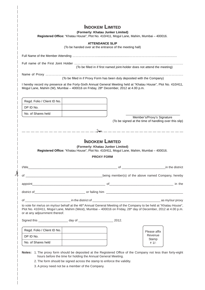| (Formerly: Khatau Junker Limited)<br>Registered Office: "Khatau House", Plot No. 410/411, Mogul Lane, Mahim, Mumbai - 400016.                                                                                                                                                                                     |                                                                                     |
|-------------------------------------------------------------------------------------------------------------------------------------------------------------------------------------------------------------------------------------------------------------------------------------------------------------------|-------------------------------------------------------------------------------------|
| <b>ATTENDANCE SLIP</b><br>(To be handed over at the entrance of the meeting hall)                                                                                                                                                                                                                                 |                                                                                     |
|                                                                                                                                                                                                                                                                                                                   |                                                                                     |
|                                                                                                                                                                                                                                                                                                                   |                                                                                     |
| (To be filled in if first named joint-holder does not attend the meeting)                                                                                                                                                                                                                                         |                                                                                     |
| (To be filled in if Proxy Form has been duly deposited with the Company)                                                                                                                                                                                                                                          |                                                                                     |
|                                                                                                                                                                                                                                                                                                                   |                                                                                     |
| I hereby record my presence at the Forty-Sixth Annual General Meeting held at "Khatau House", Plot No. 410/411,<br>Mogul Lane, Mahim (W), Mumbai - 400016 on Friday, 28 <sup>th</sup> December, 2012 at 4.00 p.m.                                                                                                 |                                                                                     |
|                                                                                                                                                                                                                                                                                                                   |                                                                                     |
|                                                                                                                                                                                                                                                                                                                   |                                                                                     |
| Regd. Folio / Client ID No.<br>DP ID No.                                                                                                                                                                                                                                                                          |                                                                                     |
|                                                                                                                                                                                                                                                                                                                   |                                                                                     |
| No. of Shares held                                                                                                                                                                                                                                                                                                | Member's/Proxy's Signature<br>(To be signed at the time of handling over this slip) |
| _______________<br><b>INDOKEM LIMITED</b><br>(Formerly: Khatau Junker Limited)                                                                                                                                                                                                                                    | 8 ___________________                                                               |
| Registered Office: "Khatau House", Plot No. 410/411, Mogul Lane, Mahim, Mumbai - 400016.<br><b>PROXY FORM</b>                                                                                                                                                                                                     |                                                                                     |
|                                                                                                                                                                                                                                                                                                                   | of in the district                                                                  |
|                                                                                                                                                                                                                                                                                                                   | being member(s) of the above named Company, hereby                                  |
|                                                                                                                                                                                                                                                                                                                   |                                                                                     |
|                                                                                                                                                                                                                                                                                                                   |                                                                                     |
|                                                                                                                                                                                                                                                                                                                   |                                                                                     |
|                                                                                                                                                                                                                                                                                                                   |                                                                                     |
|                                                                                                                                                                                                                                                                                                                   |                                                                                     |
| Regd. Folio / Client ID No.                                                                                                                                                                                                                                                                                       | Please affix                                                                        |
| of<br>to vote for me/us on my/our behalf at the 46 <sup>th</sup> Annual General Meeting of the Company to be held at "Khatau House",<br>Plot No. 410/411, Mogul Lane, Mahim (West), Mumbai - 400016 on Friday, 28 <sup>th</sup> day of December, 2012 at 4.00 p.m.<br>or at any adjournment thereof.<br>DP ID No. | Revenue<br>Stamp                                                                    |

- 2. The form should be signed across the stamp to enforce the validity.
- 3. A proxy need not be a member of the Company.

 $\overline{\phantom{a}}$ 

 $\overline{\phantom{a}}$ 

 $\overline{\phantom{a}}$